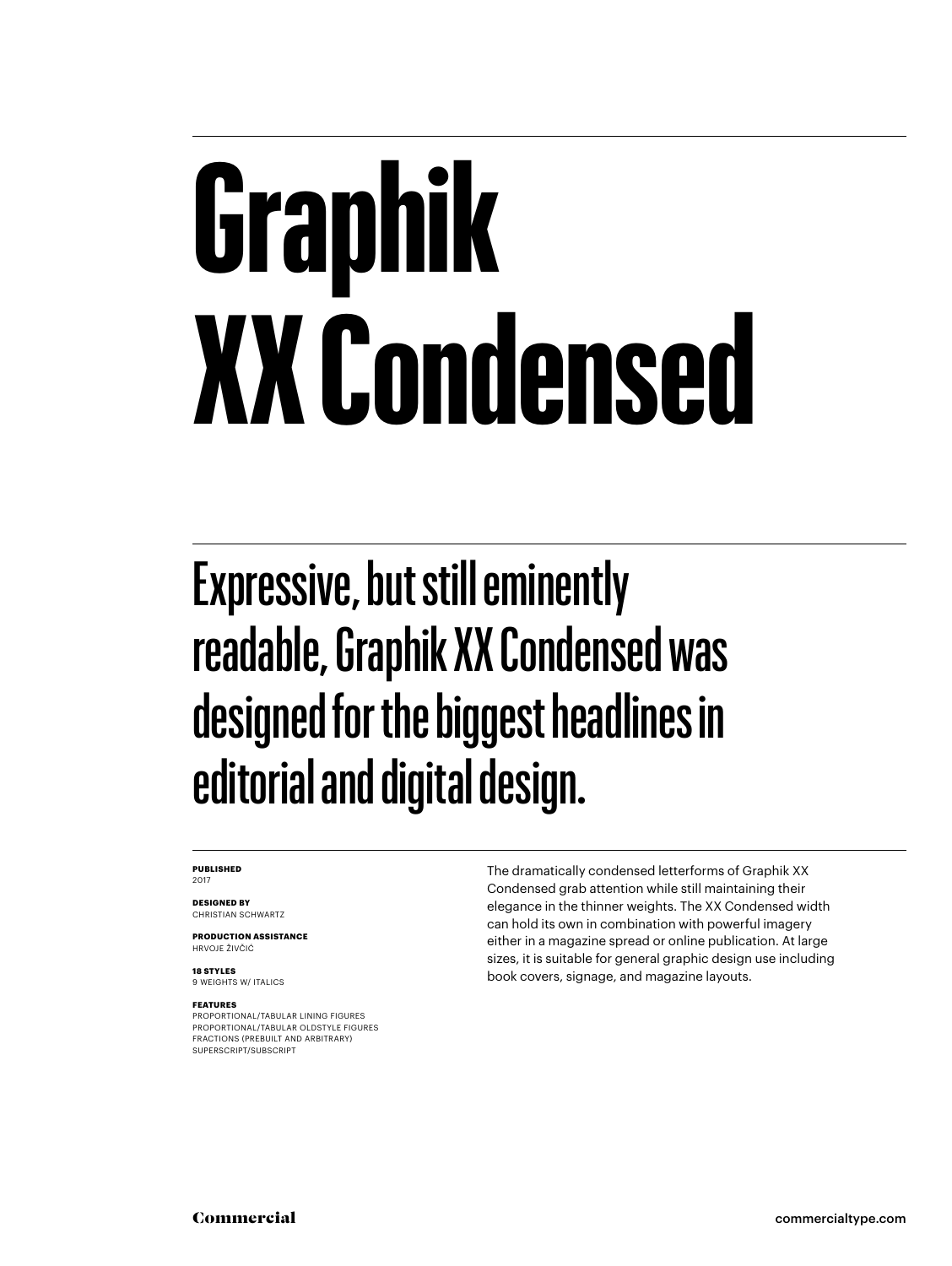## **Graphik XX Condensed**

#### Expressive, but still eminently readable, Graphik XX Condensed was designed for the biggest headlines in editorial and digital design.

#### **PUBLISHED** 2017

**DESIGNED BY** CHRISTIAN SCHWARTZ

**PRODUCTION ASSISTANCE** HRVOJE ŽIVČIĆ

**18 STYLES** 9 WEIGHTS W/ ITALICS

#### **FEATURES**

PROPORTIONAL/TABULAR LINING FIGURES PROPORTIONAL/TABULAR OLDSTYLE FIGURES FRACTIONS (PREBUILT AND ARBITRARY) SUPERSCRIPT/SUBSCRIPT

The dramatically condensed letterforms of Graphik XX Condensed grab attention while still maintaining their elegance in the thinner weights. The XX Condensed width can hold its own in combination with powerful imagery either in a magazine spread or online publication. At large sizes, it is suitable for general graphic design use including book covers, signage, and magazine layouts.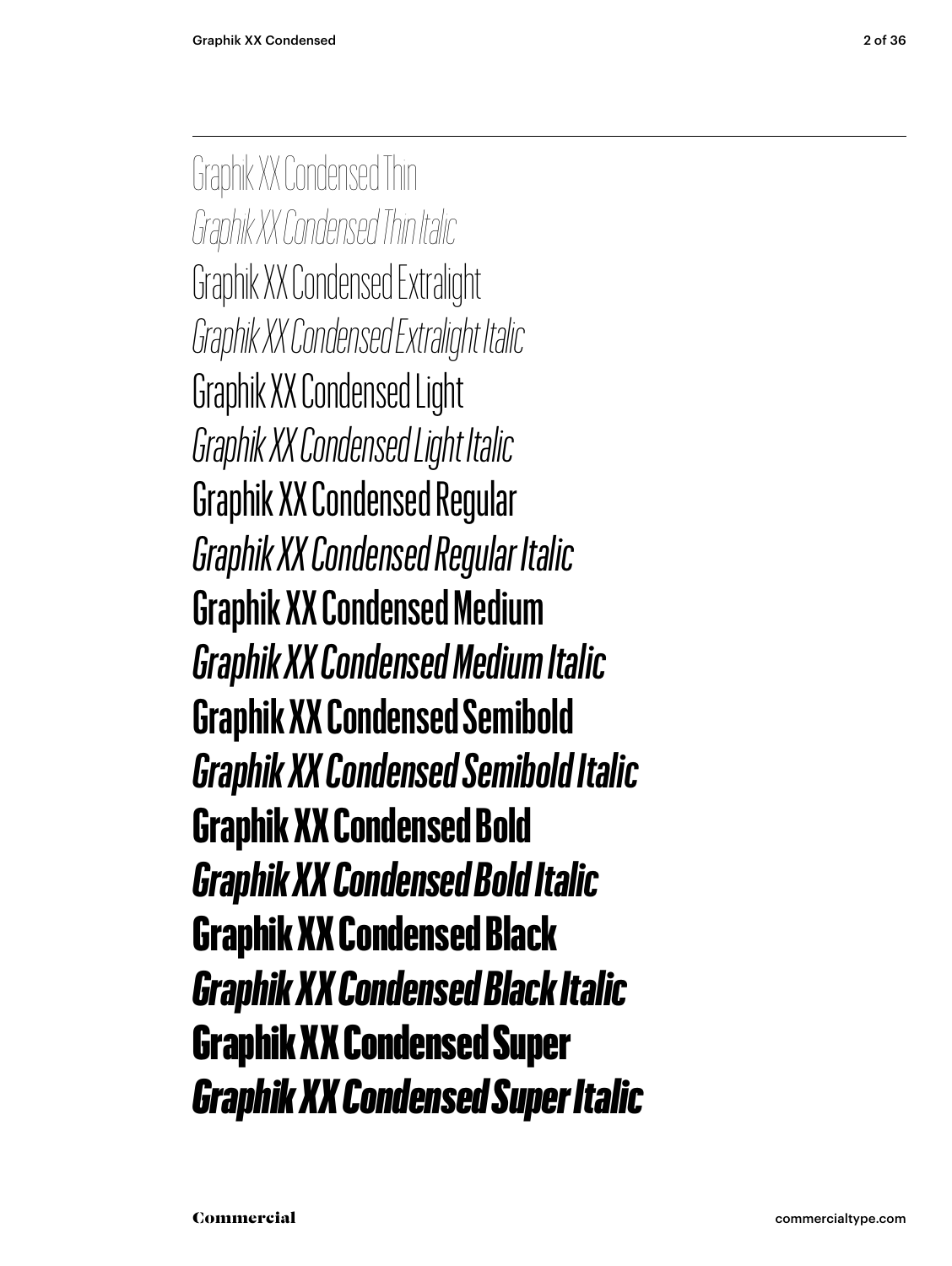Graphik XX Condensed Thin *Graphik XX Condensed Thin Italic* Graphik XX Condensed Extralight *Graphik XX Condensed Extralight Italic* Graphik XX Condensed Light *Graphik XX Condensed Light Italic* Graphik XX Condensed Regular *Graphik XX Condensed Regular Italic* Graphik XX Condensed Medium *Graphik XX Condensed Medium Italic* **Graphik XX Condensed Semibold** *Graphik XX Condensed Semibold Italic* **Graphik XX Condensed Bold** *Graphik XX Condensed Bold Italic* Graphik XX Condensed Black *Graphik XX Condensed Black Italic* Graphik XX Condensed Super *Graphik XX Condensed Super Italic*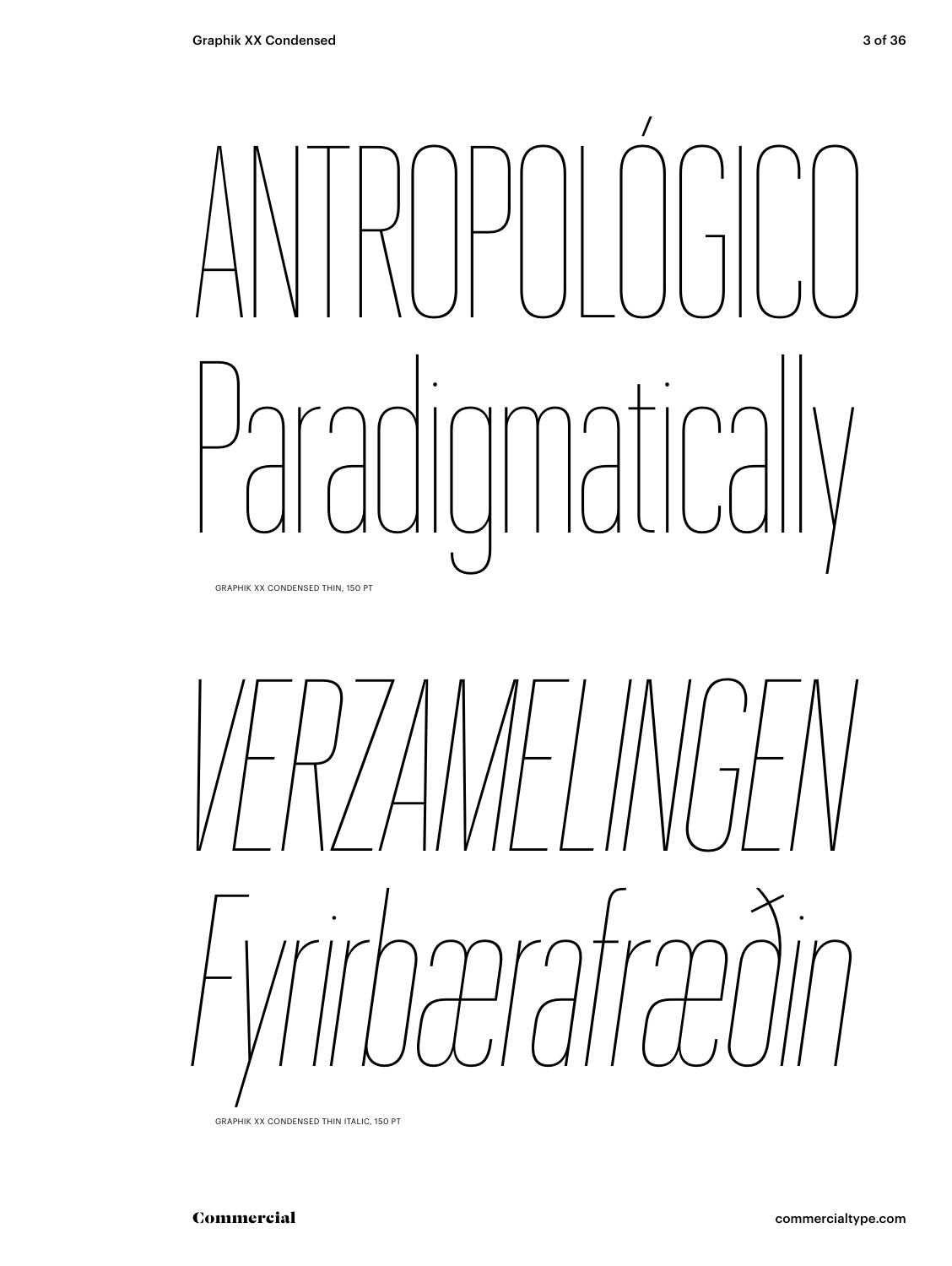# ANTROPOLÓGICO Paradigmatically

GRAPHIK XX CONDENSED THIN, 150 PT



GRAPHIK XX CONDENSED THIN ITALIC, 150 PT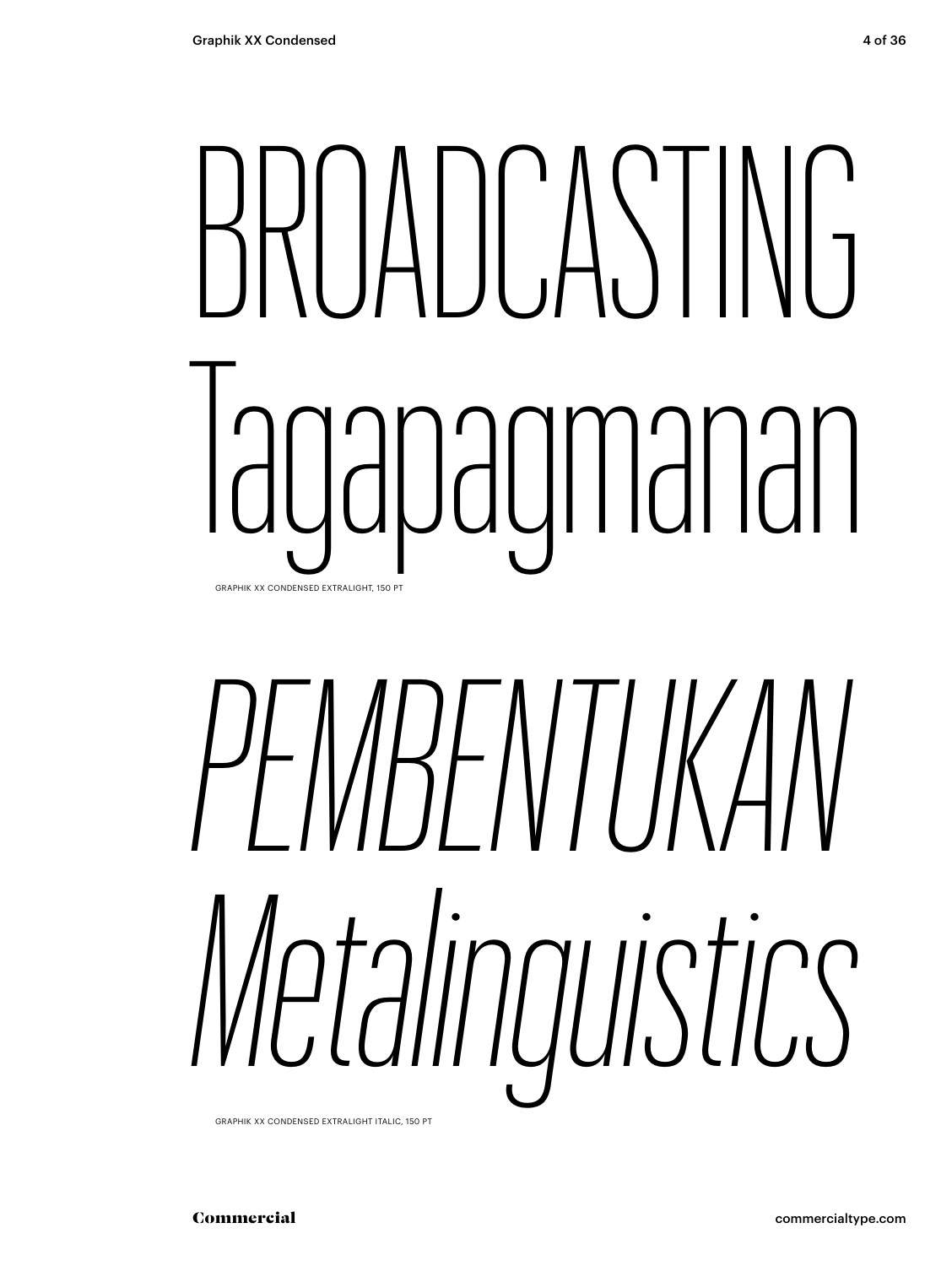### BROADCASTING Iagapagmanan GRAPHIK XX CONDENSED EXTRALIGHT, 150

# *PEMBENTUKAN Metalinguistics*

GRAPHIK XX CONDENSED EXTRALIGHT ITALIC, 150 PT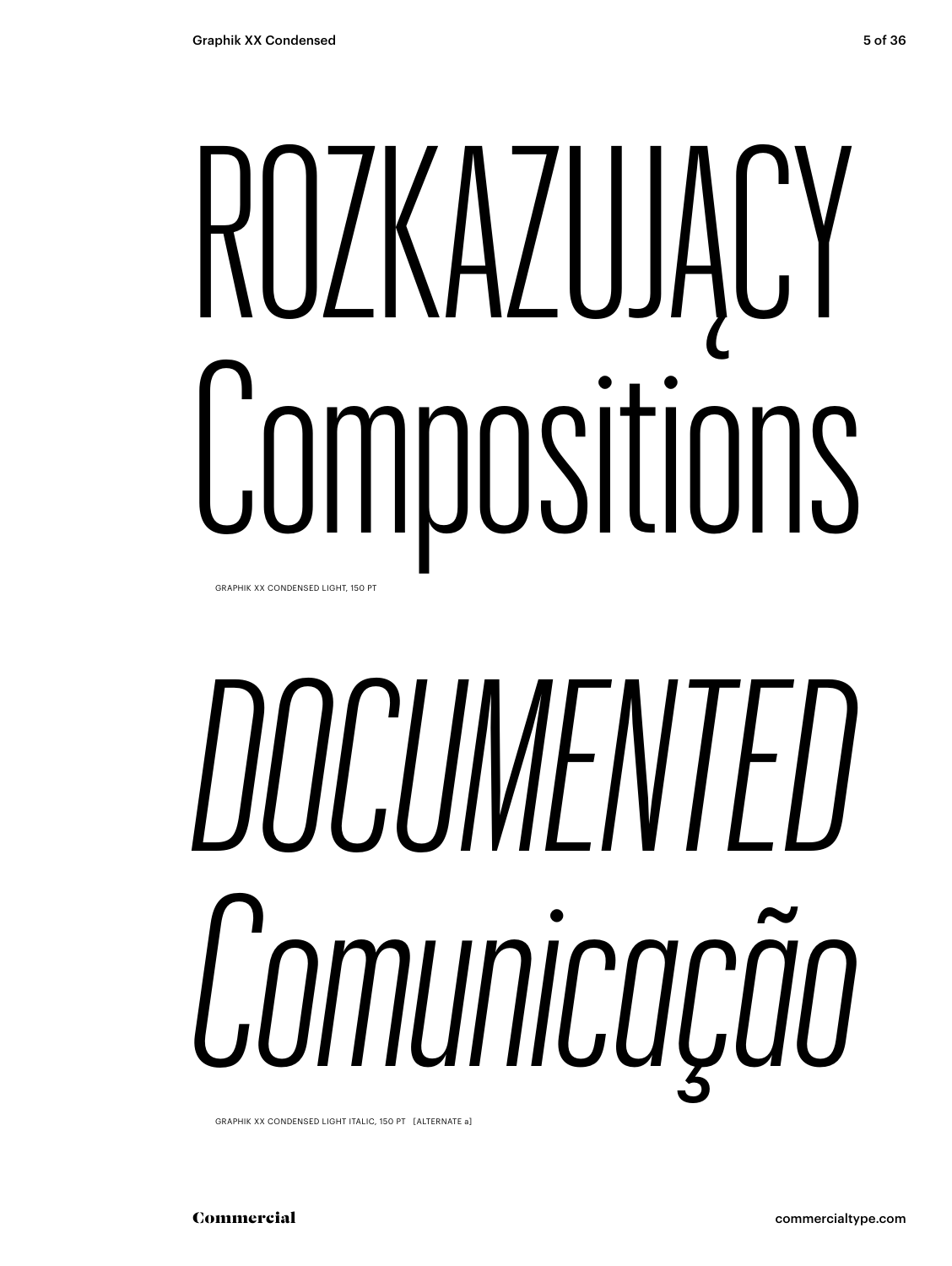### ROZKAZUJĄCY Compositions GRAPHIK XX CONDENSED LIGHT, 150 PT

# *DOCUMENTED Comunicação*

GRAPHIK XX CONDENSED LIGHT ITALIC, 150 PT [ALTERNATE a]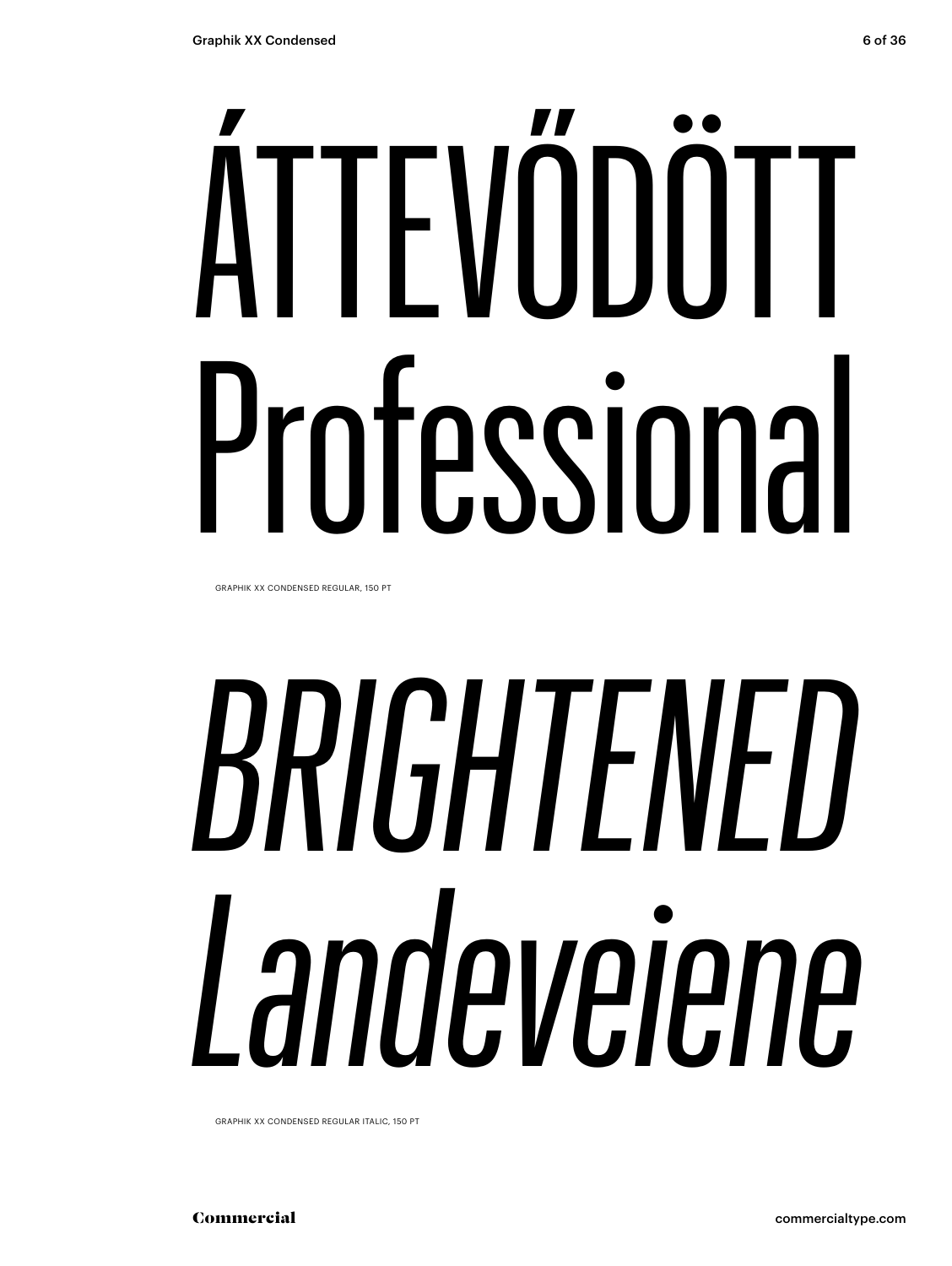# ÁTTEVŐDÖTT Professional

GRAPHIK XX CONDENSED REGULAR, 150 PT

# BRIGHTENED Landeveiene

GRAPHIK XX CONDENSED REGULAR ITALIC, 150 PT

Commercial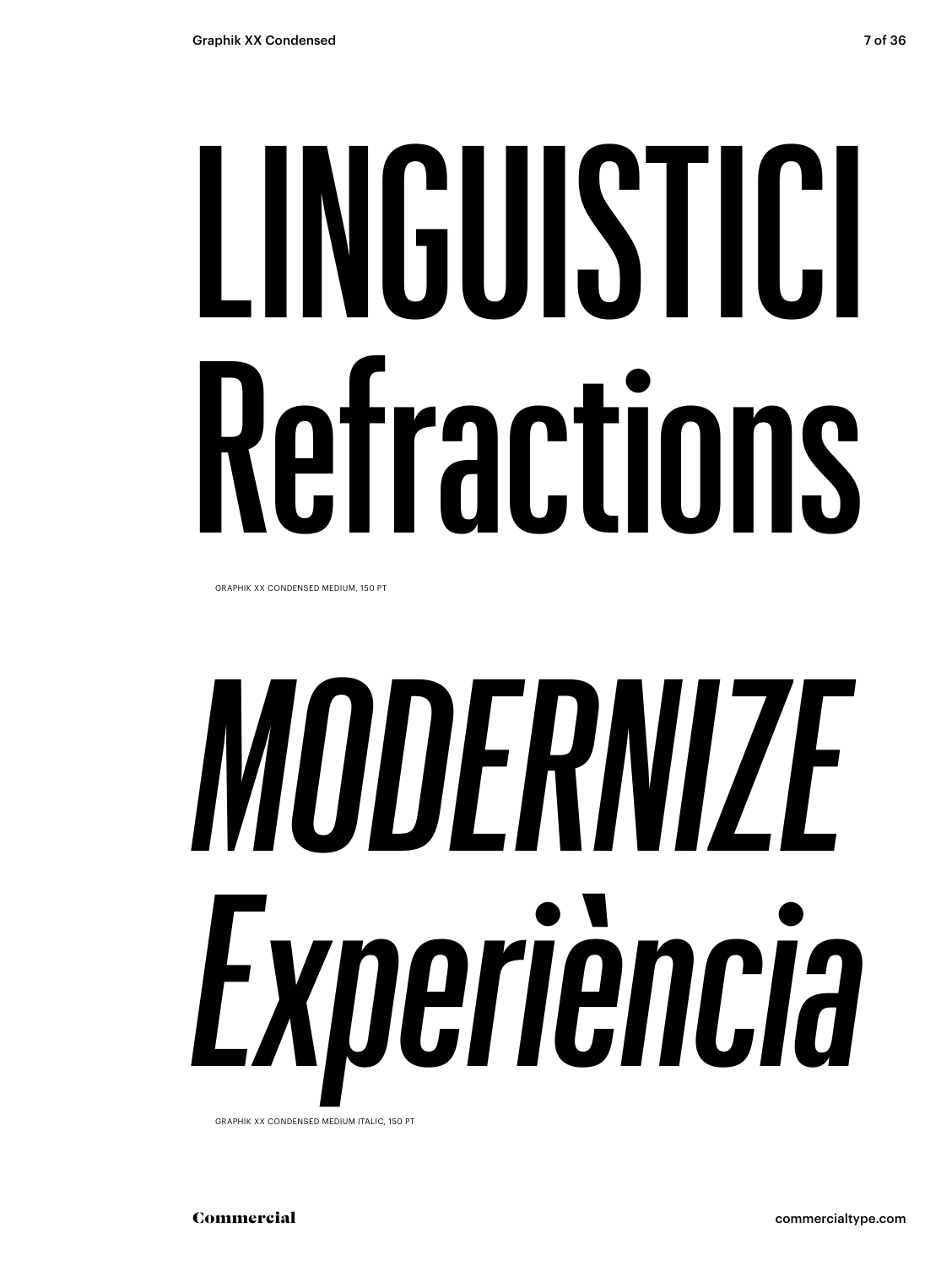# LINGUISTICI Refractions

GRAPHIK XX CONDENSED MEDIUM, 150 PT

# *MODERNIZE Experiència*

GRAPHIK XX CONDENSED MEDIUM ITALIC, 150 PT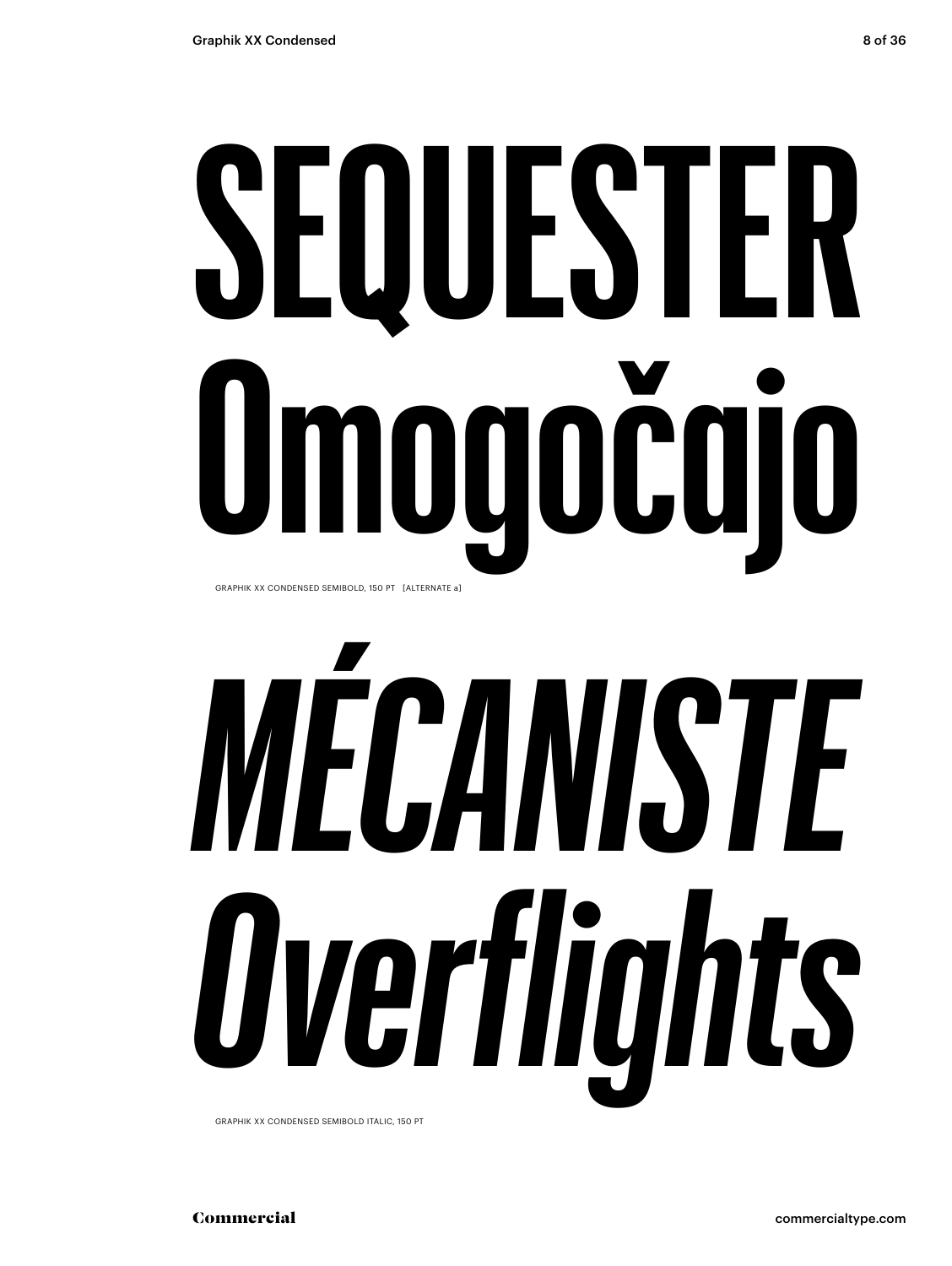# SEQUESTER Omogočajo GRAPHIK XX CONDENSED SEMIBOLD, 150 PT [ALTERNATE a]

# MECANISTE Overflights

GRAPHIK XX CONDENSED SEMIBOLD ITALIC, 150 PT

Commercial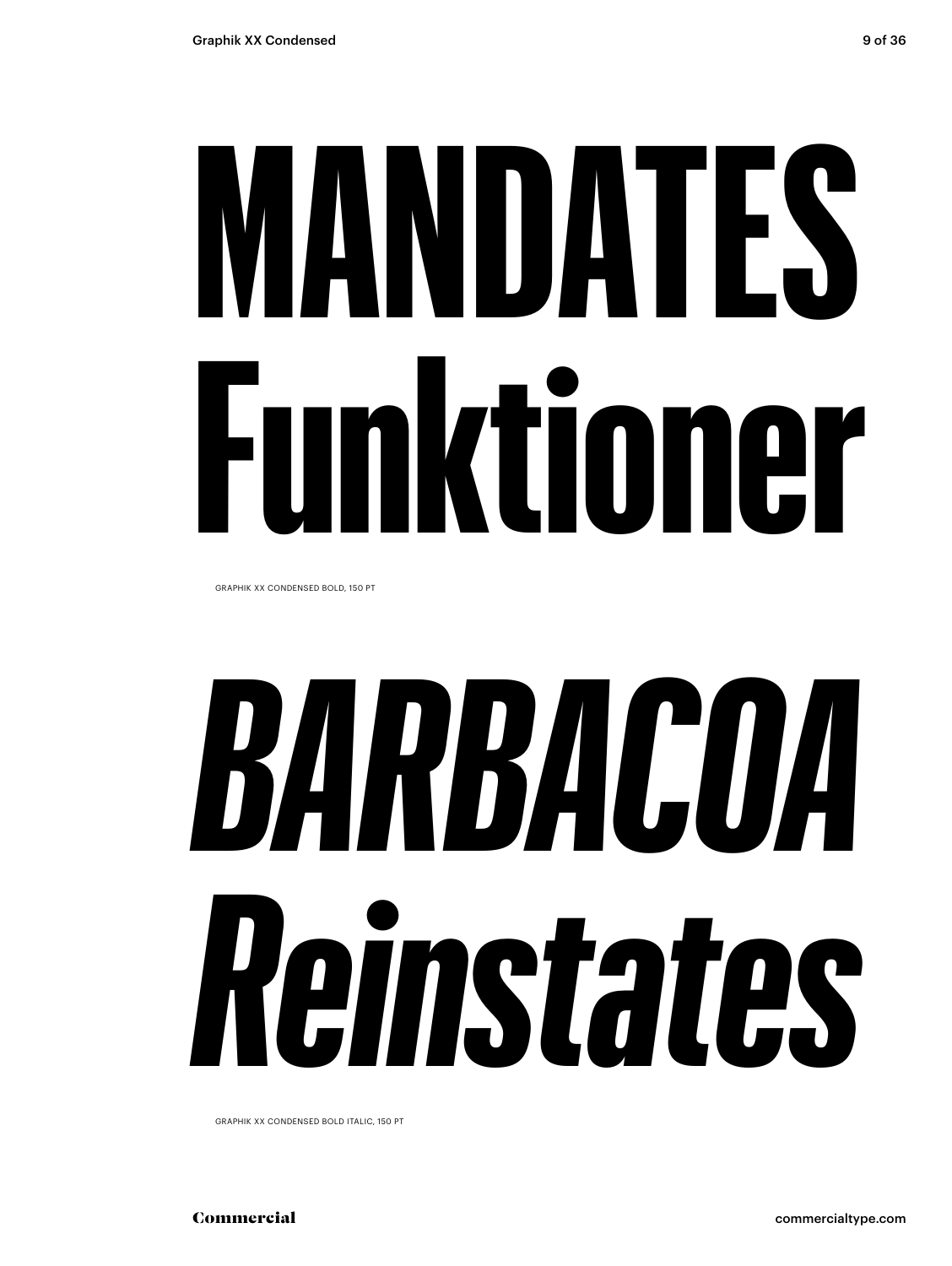# **MANDATES Funktioner**

GRAPHIK XX CONDENSED BOLD, 150 PT

# *BARBACOA Reinstates*

GRAPHIK XX CONDENSED BOLD ITALIC, 150 PT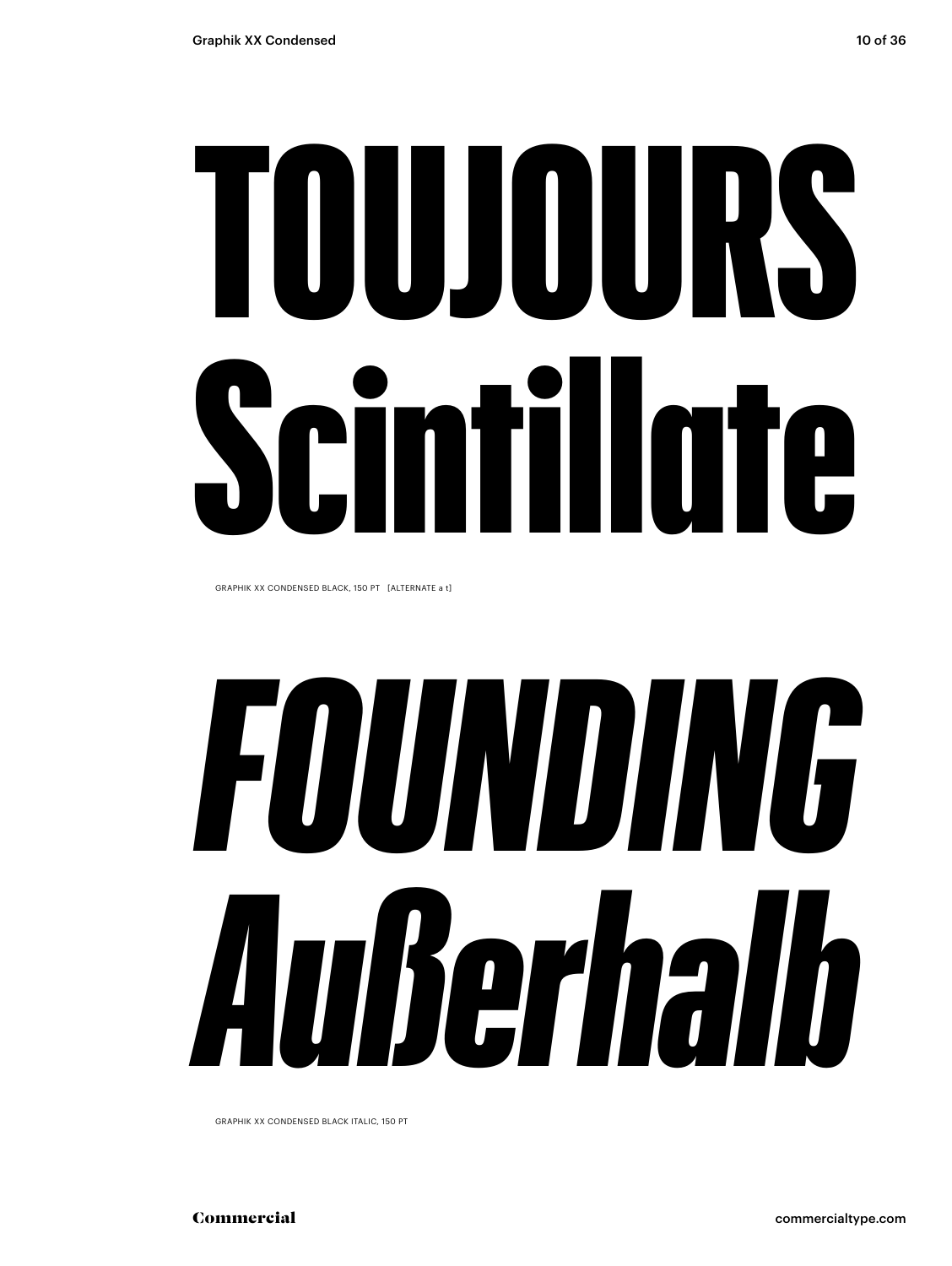# TOUJOURS Scintillate

GRAPHIK XX CONDENSED BLACK, 150 PT [ALTERNATE a t]

# *FOUNDING Außerhalb*

GRAPHIK XX CONDENSED BLACK ITALIC, 150 PT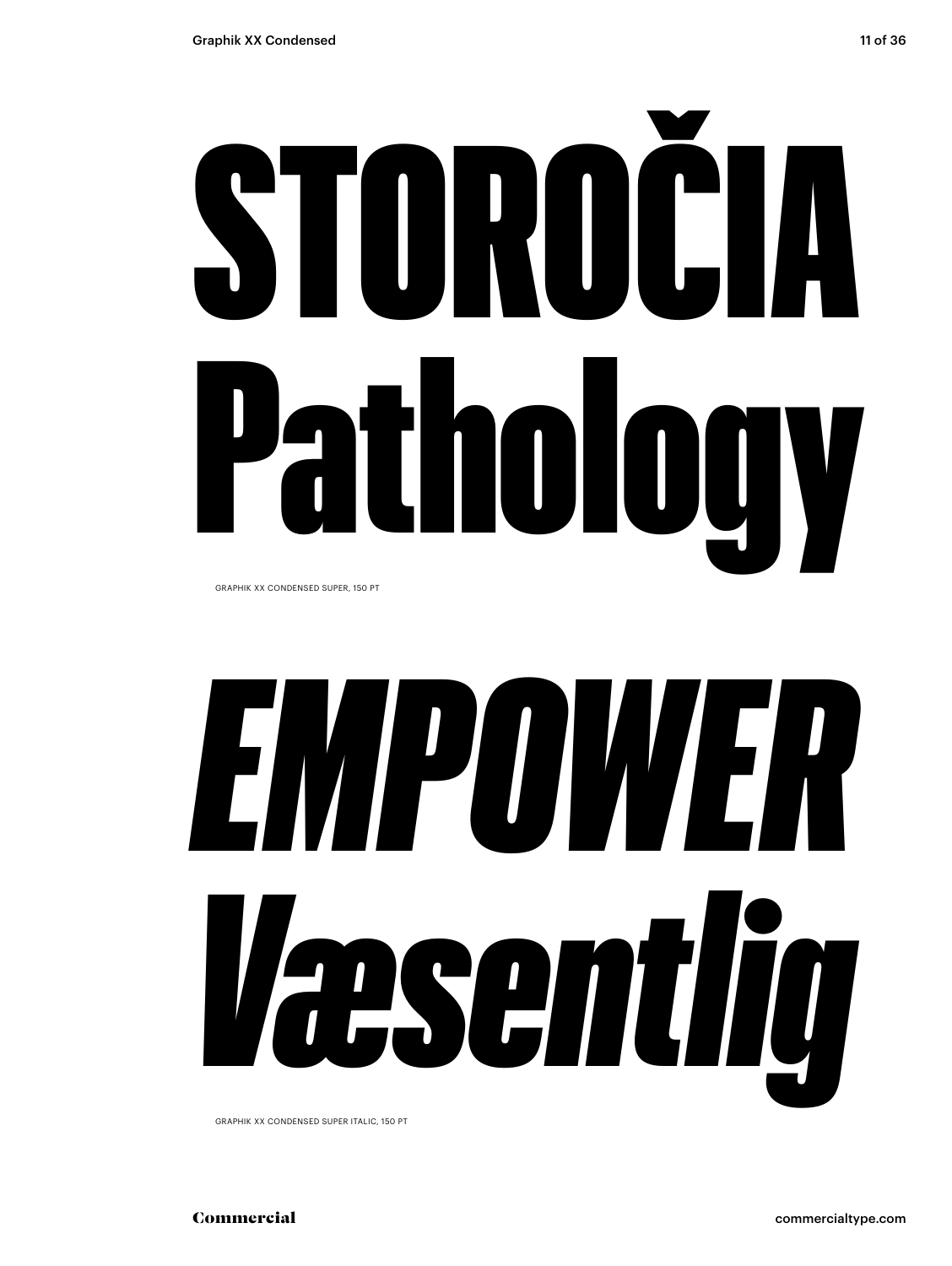# STOROČIA Pathology

GRAPHIK XX CONDENSED SUPER, 150 PT

# *EMPOWER Væsentlig*

GRAPHIK XX CONDENSED SUPER ITALIC, 150 PT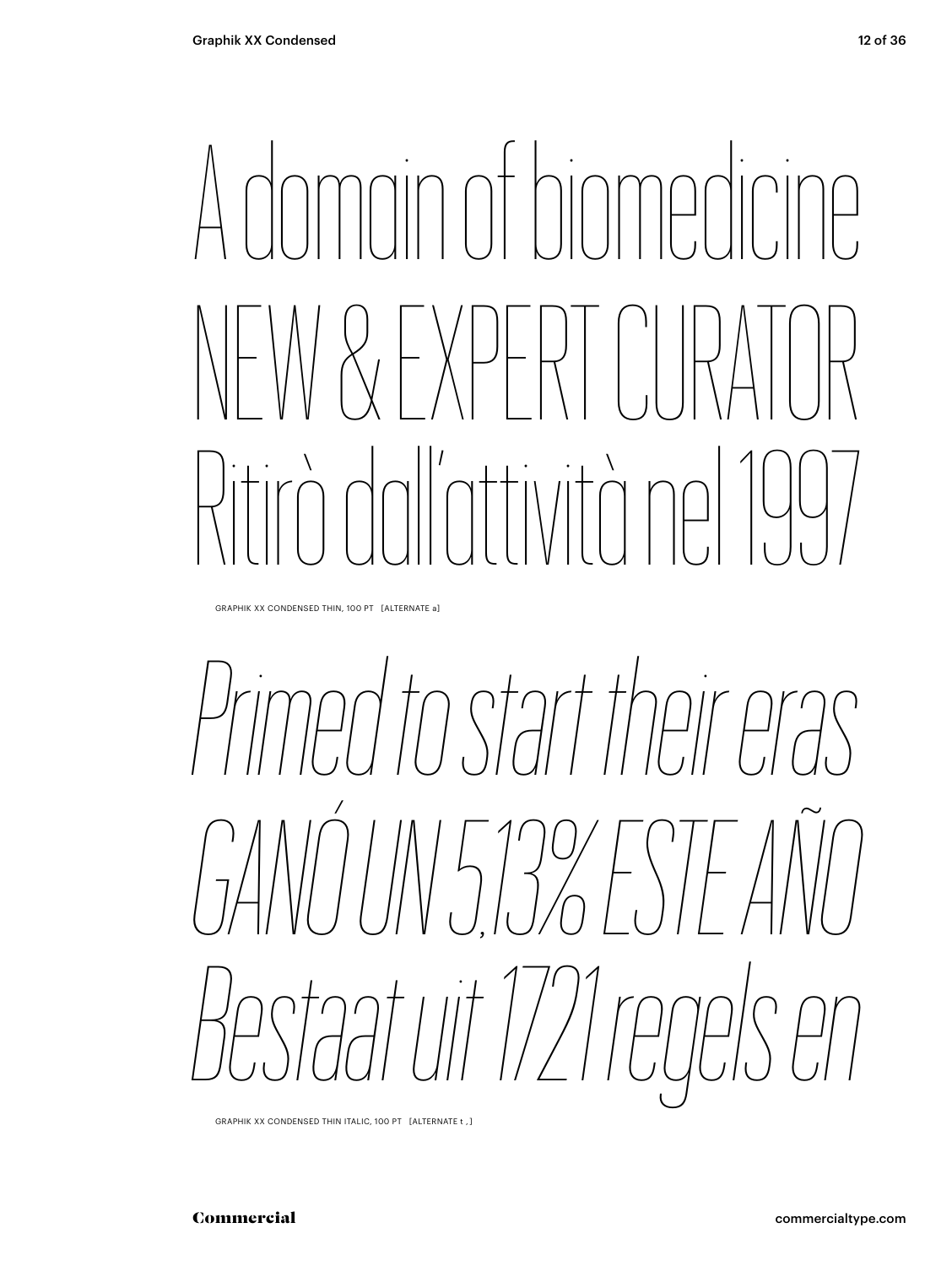### A dimension NEW & EXPERT CURATOR Ritirò dall'attività nel 1997

GRAPHIK XX CONDENSED THIN, 100 PT [ALTERNATE a]

### *Primed to start their eras GANÓ UN 5,13% ESTE AÑO Bestaat uit 1721 regels en*

GRAPHIK XX CONDENSED THIN ITALIC, 100 PT [ALTERNATE t , ]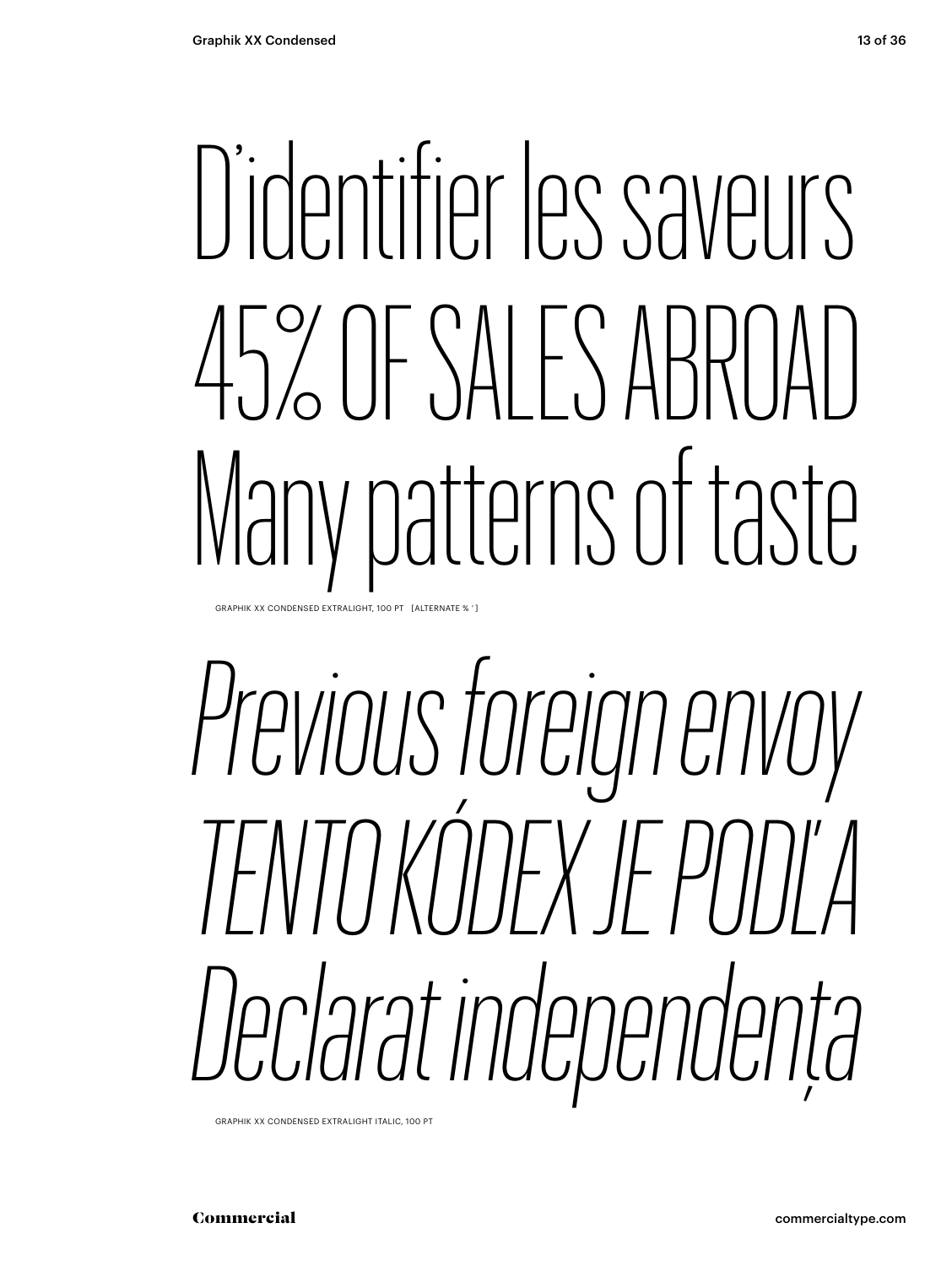## D'identifier les saveurs 45% OF SALES ABROAD Many patterns of taste

GRAPHIK XX CONDENSED EXTRALIGHT, 100 PT [ALTERNATE % ' ]

*Previous foreign envoy TENTO KÓDEX JE PODĽA Declarat independența*

GRAPHIK XX CONDENSED EXTRALIGHT ITALIC, 100 PT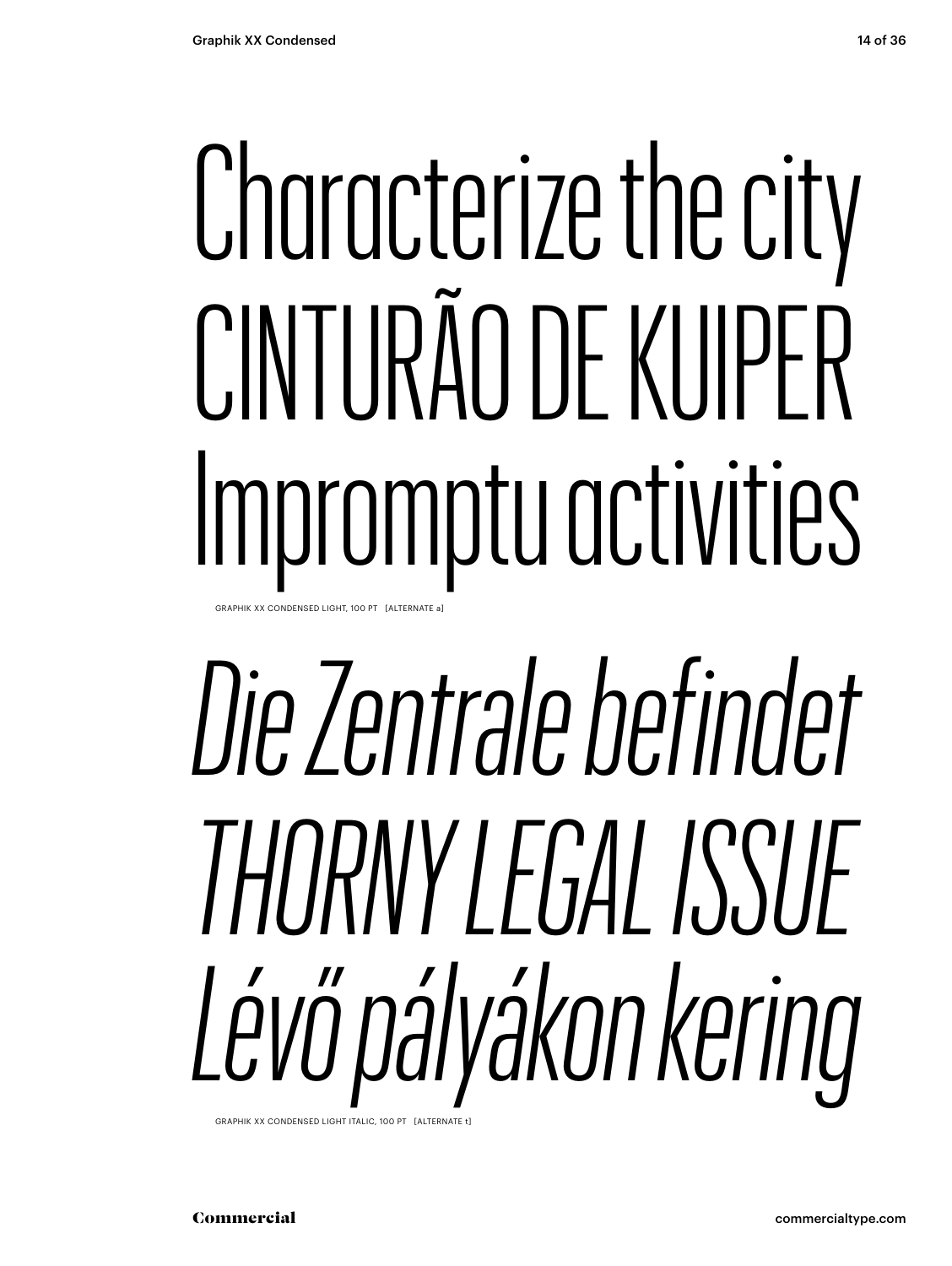## Characterize the city CINTURÃO DE KUIPER Impromptu activities

GRAPHIK XX CONDENSED LIGHT, 100 PT [ALTERNATE a]

## Die Zentrale befindet THORNY I FGAI ISSUE Lévő pályákon kering

GRAPHIK XX CONDENSED LIGHT ITALIC, 100 PT [ALTERNATE t]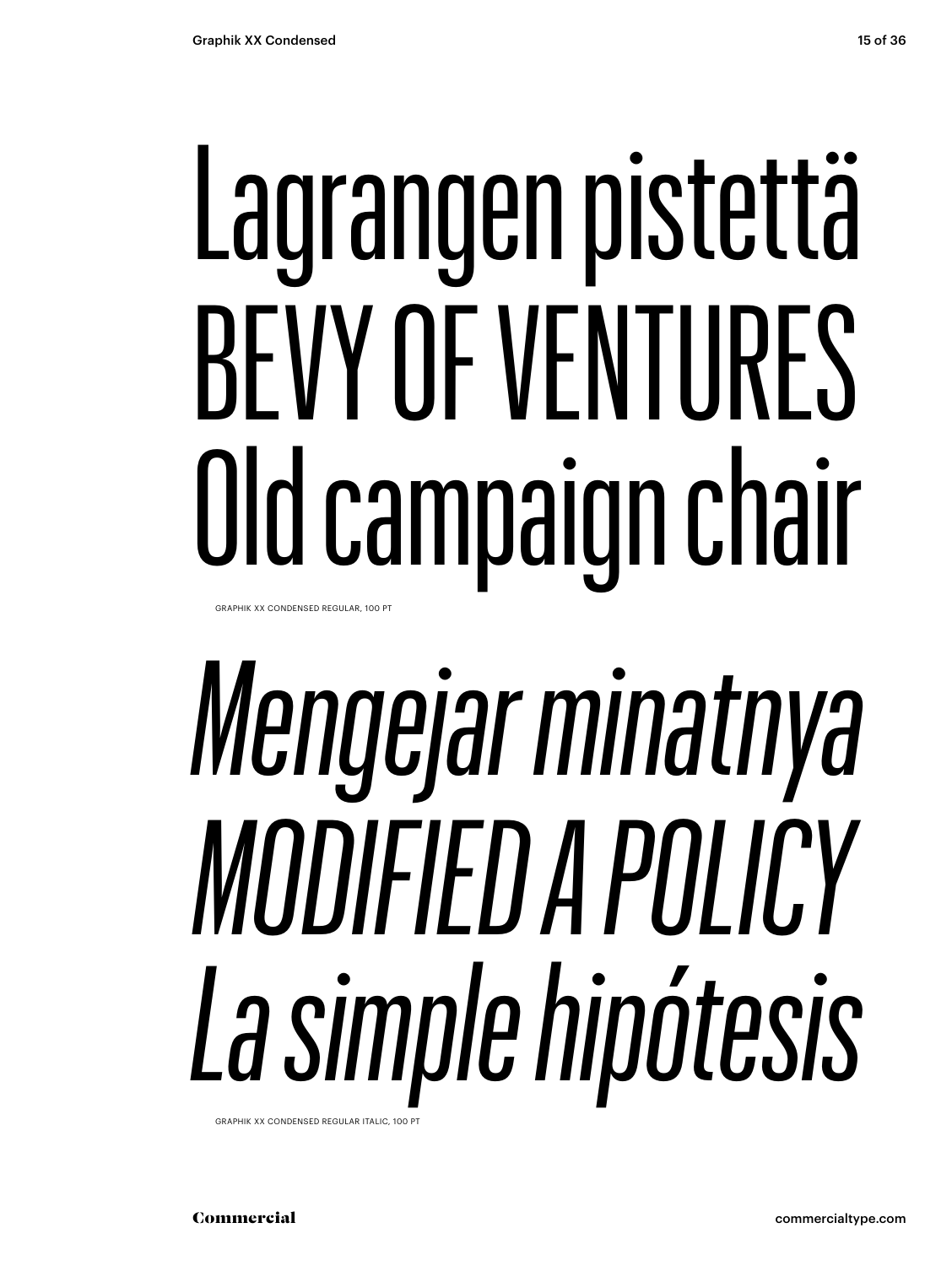## Lagrangen pistettä BEVY OF VENTURES Old campaign chair

GRAPHIK XX CONDENSED REGULAR, 100 PT

## Mengejar minatnya MODIFIED A POLICY La simple hipótesis

GRAPHIK XX CONDENSED REGULAR ITALIC, 100 F

Commercial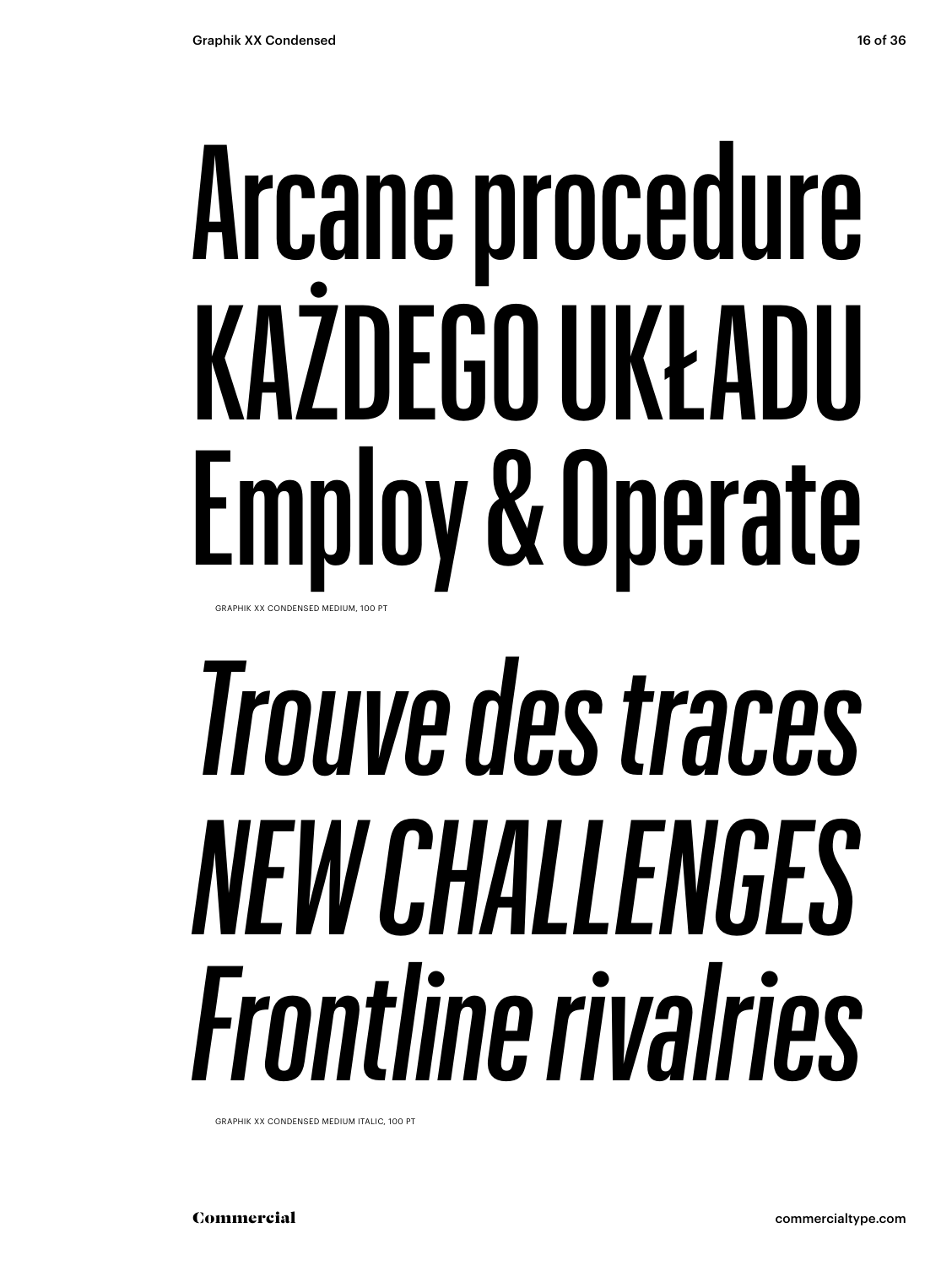### Arcane procedure KAŻDEGO UKŁADU Employ & Operate GRAPHIK XX CONDENSED MEDIUM, 100 PT

### *Trouve des traces NEW CHALLENGES Frontline rivalries*

GRAPHIK XX CONDENSED MEDIUM ITALIC, 100 PT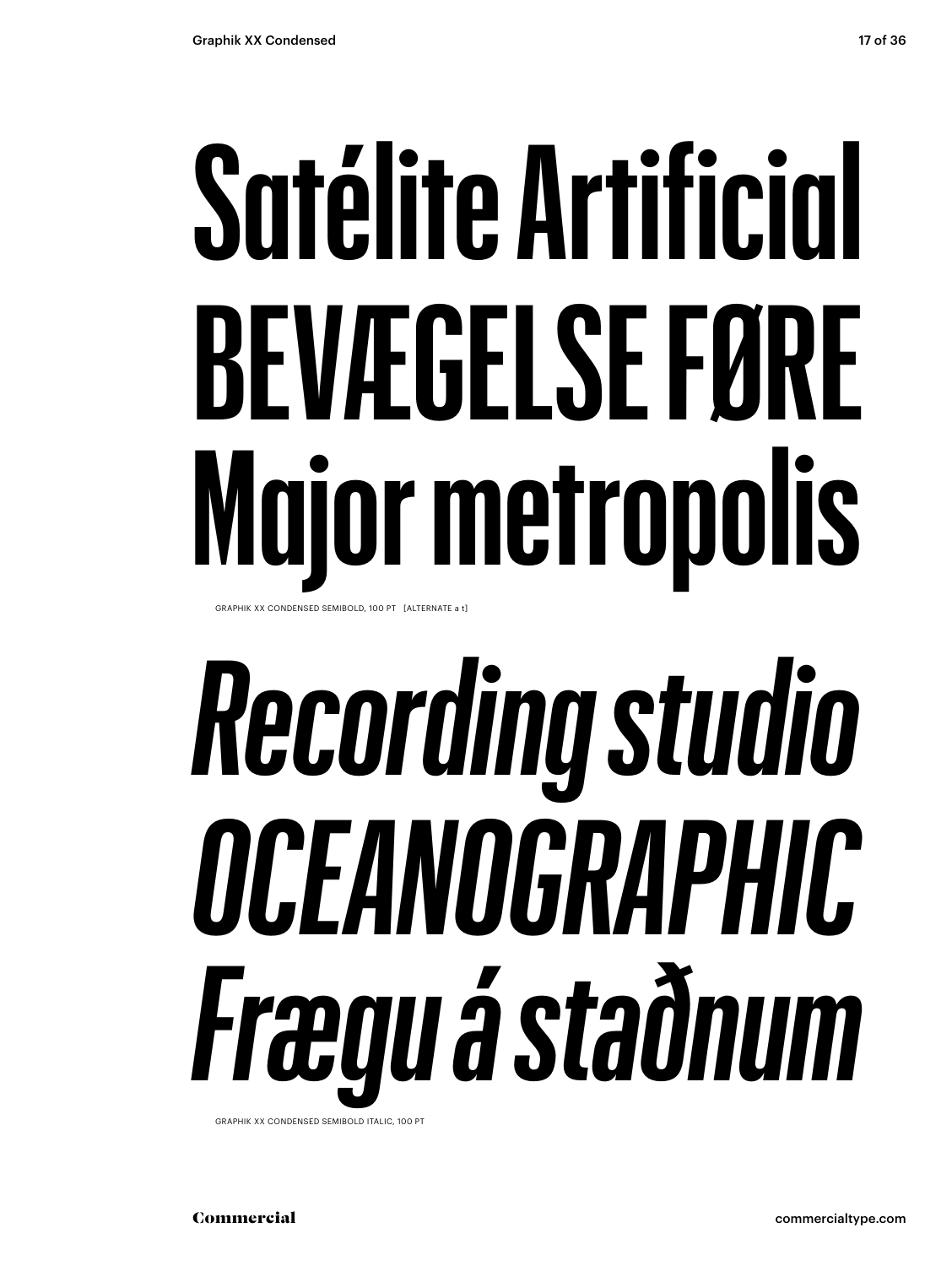### **Satélite Artificial BEVÆGELSE FØRE Major metropolis** GRAPHIK XX CONDENSED SEMIBOLD, 100 PT [ALTERNATE a t]

# *Recording studio OCEANOGRAPHIC Frægu á staðnum*

GRAPHIK XX CONDENSED SEMIBOLD ITALIC, 100 PT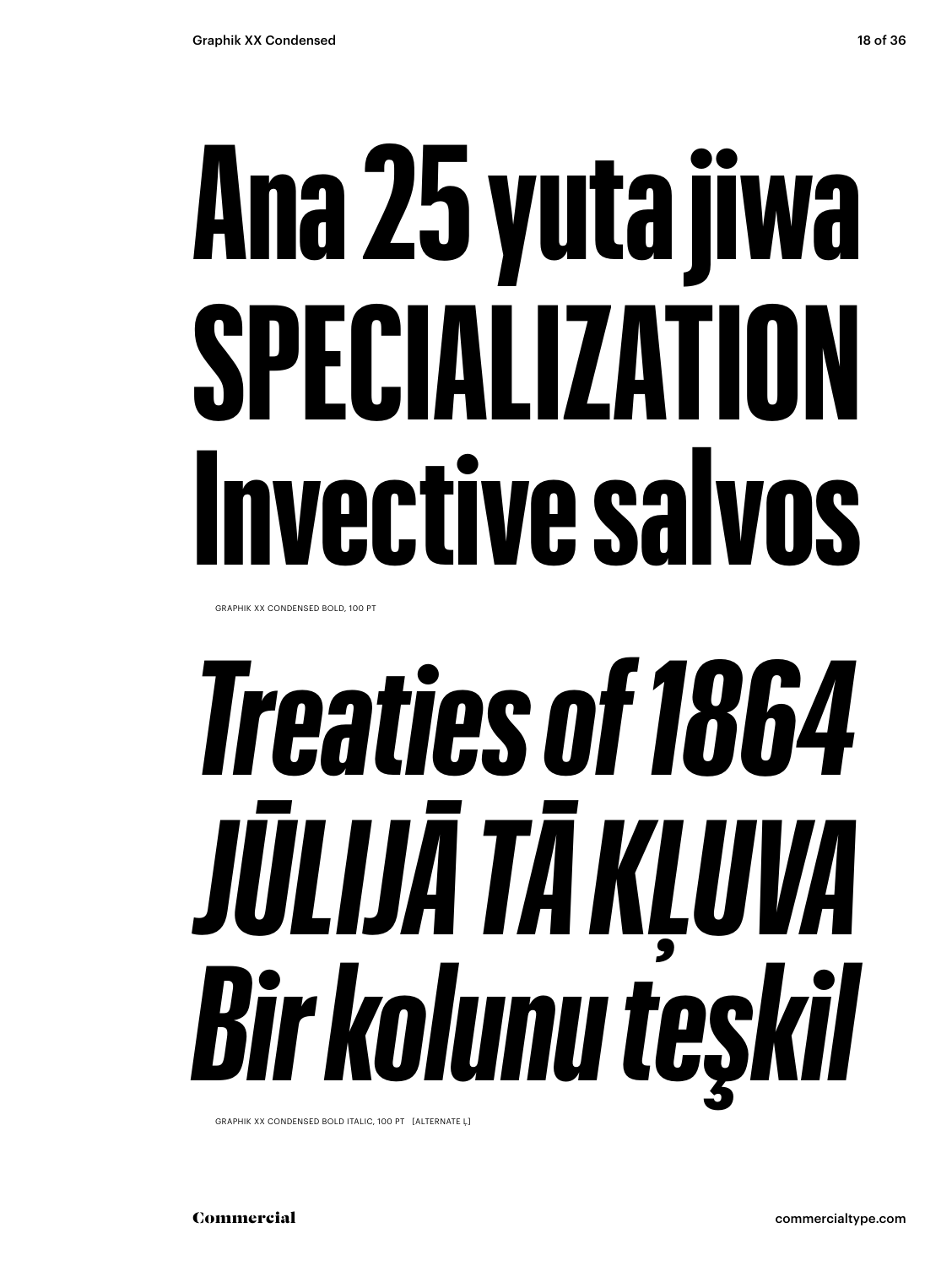# **Ana 25 yuta jiwa**

# **SPECIALIZATION Invective salvos**

GRAPHIK XX CONDENSED BOLD, 100 PT

## *Treaties of 1864 JŪLIJĀ TĀ KĻUVA Bir kolunu teşkil*

GRAPHIK XX CONDENSED BOLD ITALIC, 100 PT [ALTERNATE Ļ]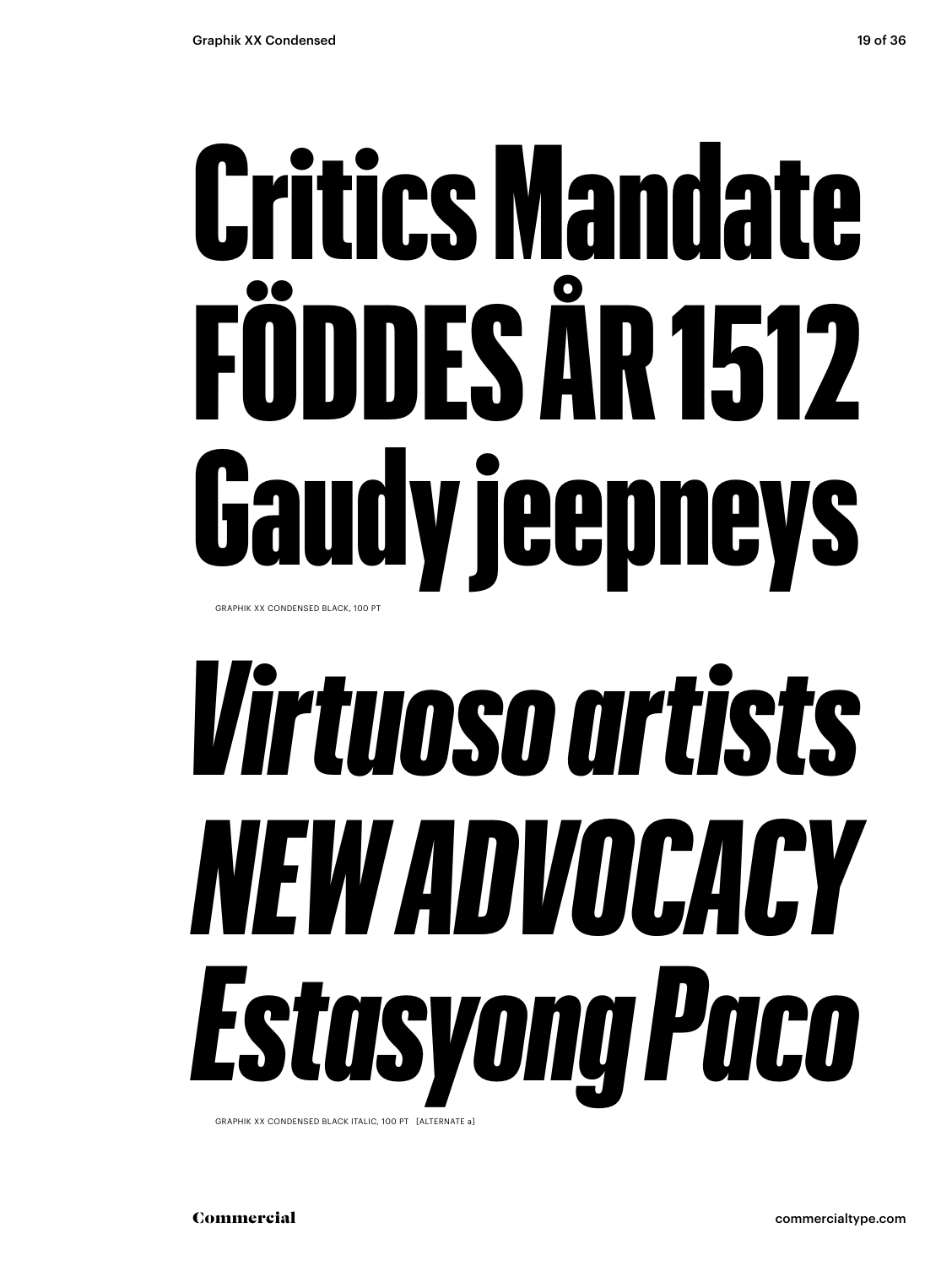### Critics Mandate FÖDDES ÅR 1512 Gaudy jeepneys GRAPHIK XX CONDENSED BLACK, 100 PT

## *Virtuoso artists NEW ADVOCACY Estasyong Paco*

GRAPHIK XX CONDENSED BLACK ITALIC, 100 PT [ALTERNATE a]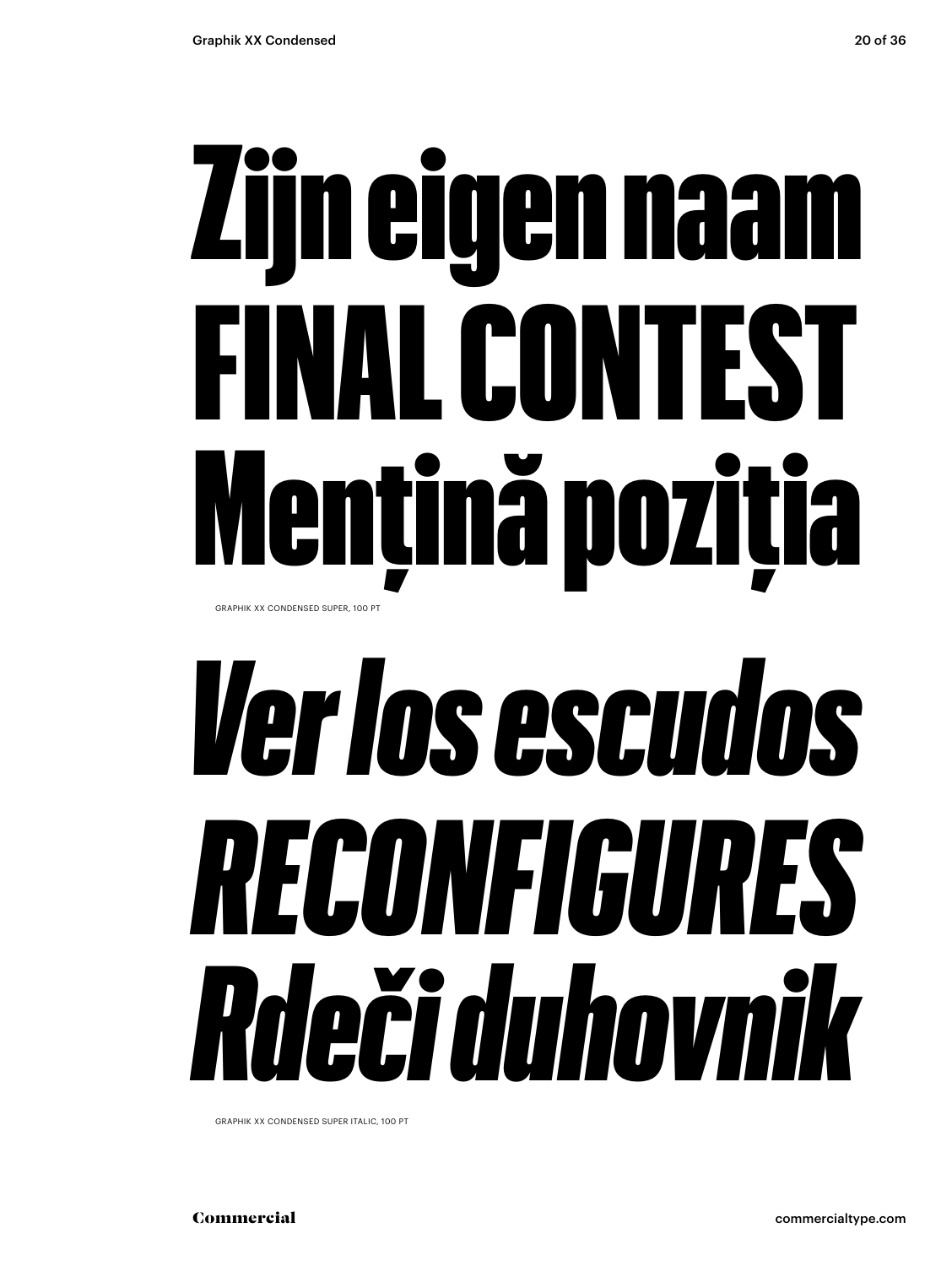### Zijn eigen naam FINAL CONTEST Mențină poziția **GRAPHIK XX CONDENSED SUPER, 100 PT**

### *Ver los escudos RECONFIGURES Rdeči duhovnik*

GRAPHIK XX CONDENSED SUPER ITALIC, 100 PT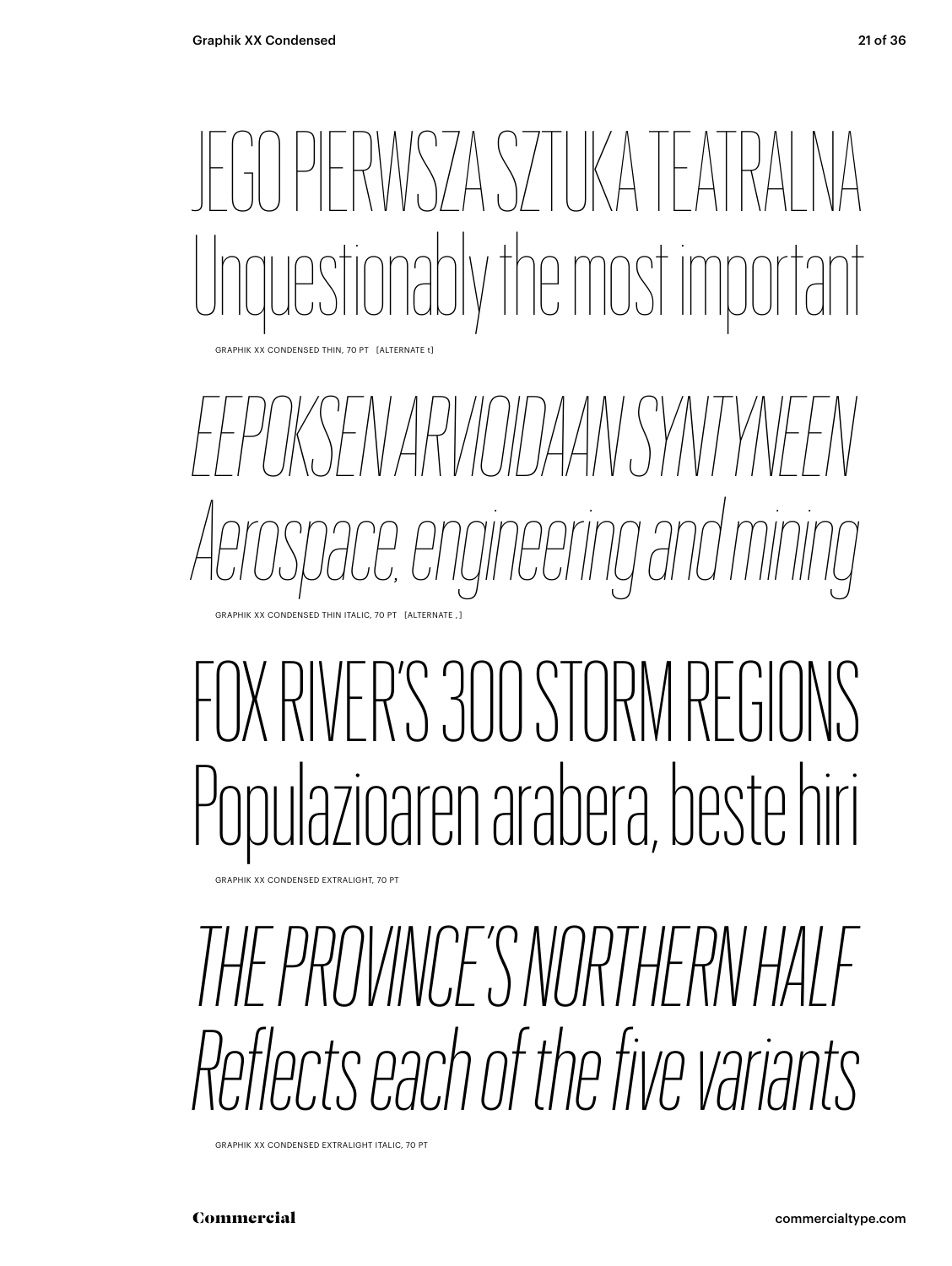### IERWSZA SZTIKA TEAT ly the most important

GRAPHIK XX CONDENSED THIN, 70 PT [ALTERNATE t]

*EEPOKSEN ARVIOIDAAN SYNTYNEEN Aerospace, engineering and mining* GRAPHIK XX CONDENSED THIN ITALIC, 70 PT [ALTERNATE , ]

#### FOX RIVER'S 300 STORM REGIL Populazioaren arabera, beste hiri

GRAPHIK XX CONDENSED EXTRALIGHT, 70 PT

*THE PROVINCE'S NORTHERN HALF Reflects each of the five variants*

GRAPHIK XX CONDENSED EXTRALIGHT ITALIC, 70 PT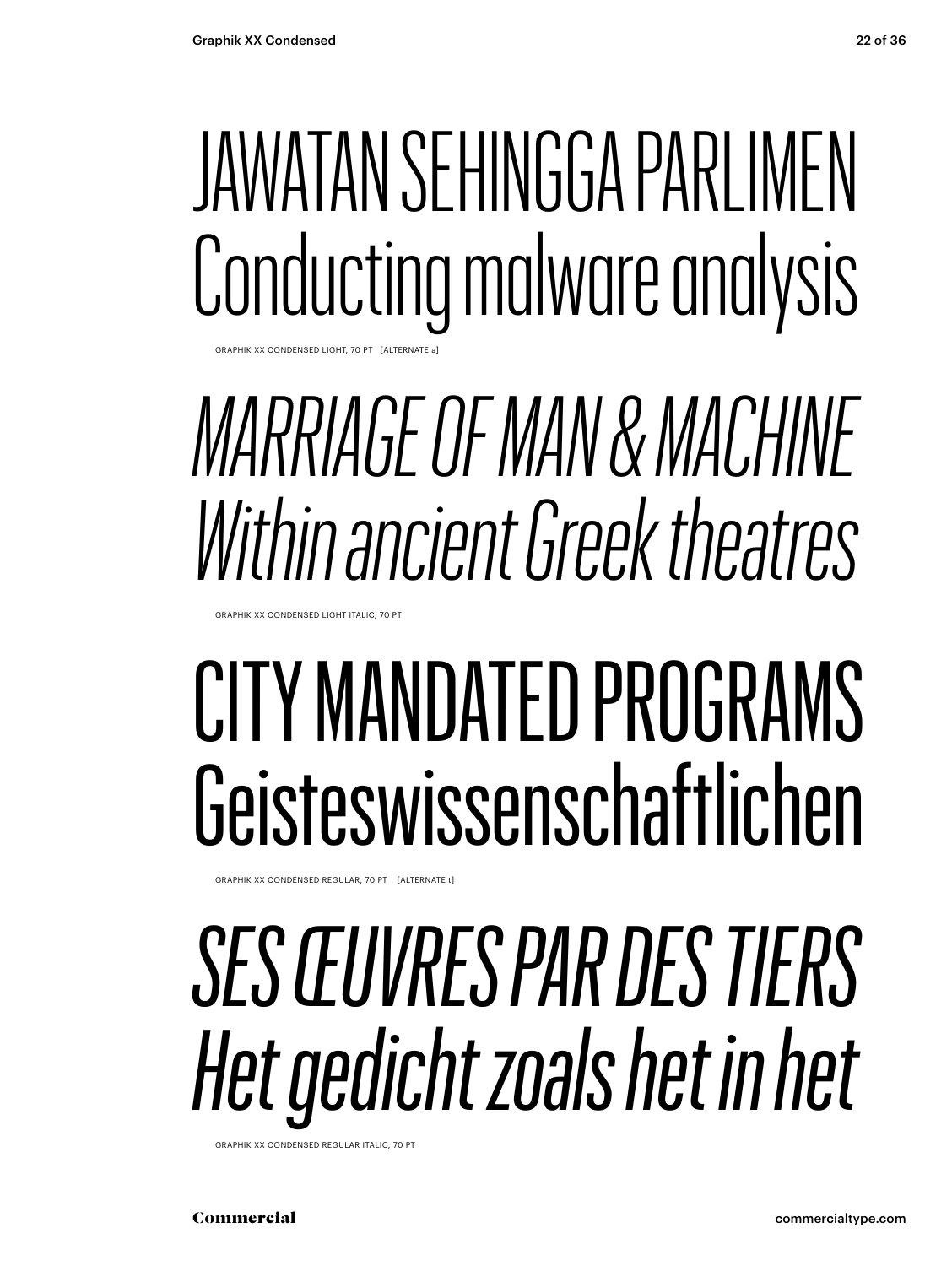### JAWATAN SEHINGGA PARLIMEN Conducting malware analysis

GRAPHIK XX CONDENSED LIGHT, 70 PT [ALTERNATE a]

#### *MARRIAGE OF MAN & MACHINE Within ancient Greek theatres*

GRAPHIK XX CONDENSED LIGHT ITALIC, 70 PT

#### CITY MANDATED PROGRAMS Geisteswissenschaftlichen

GRAPHIK XX CONDENSED REGULAR, 70 PT [ALTERNATE t]

### *SES ŒUVRES PAR DES TIERS Het gedicht zoals het in het*

GRAPHIK XX CONDENSED REGULAR ITALIC, 70 PT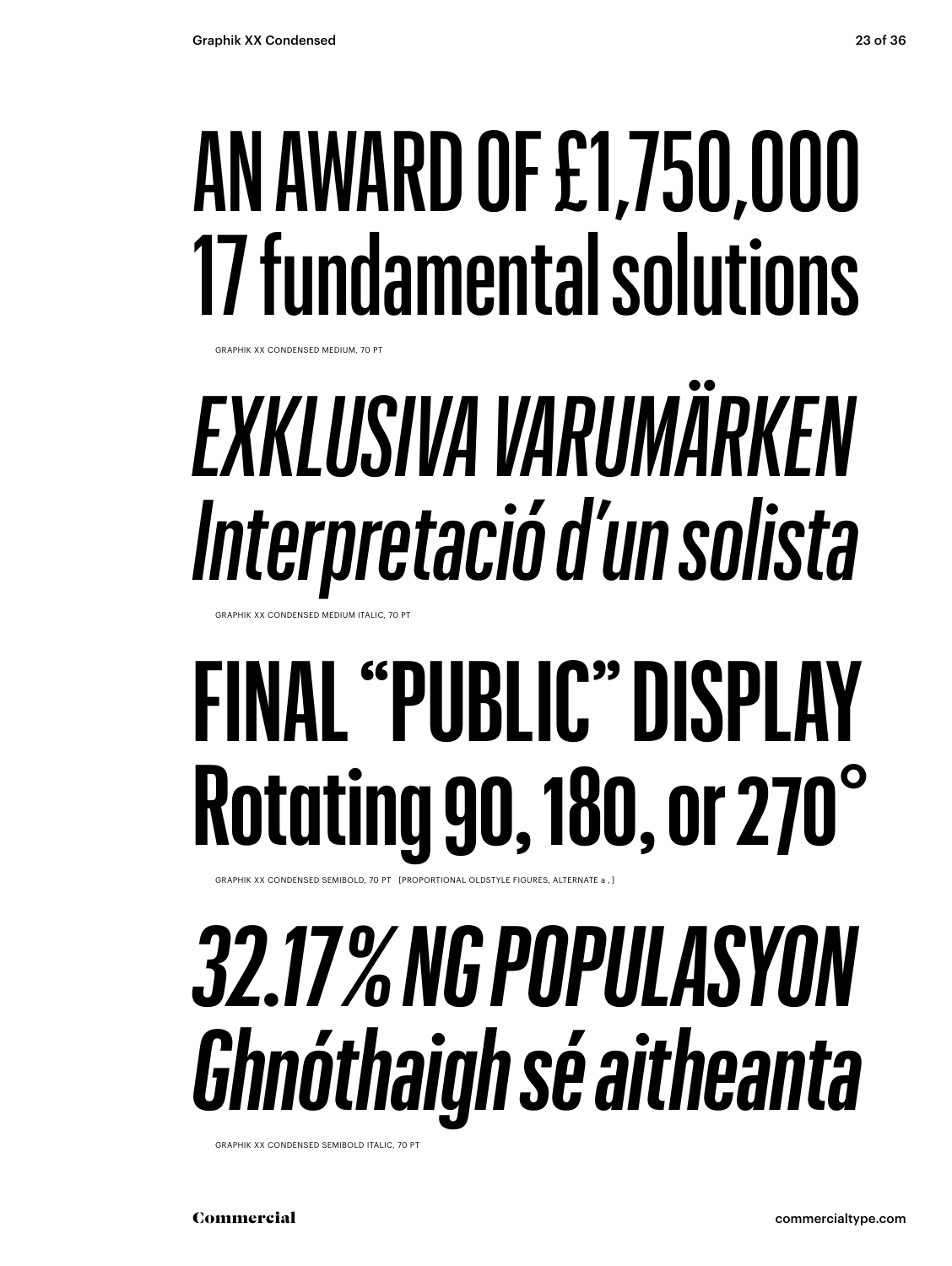#### AN AWARD OF £1,750,000 17 fundamental solutions

GRAPHIK XX CONDENSED MEDIUM, 70 PT

### EXKLUSIVA VARUMÄRKEN Interpretació d'un solista

GRAPHIK XX CONDENSED MEDIUM ITALIC, 70 P

### **FINAL "PUBLIC" DISPLAY Rotating 90, 180, or 270°**

GRAPHIK XX CONDENSED SEMIBOLD, 70 PT [PROPORTIONAL OLDSTYLE FIGURES, ALTERNATE a, ]

#### 32.17% NG POPULASYON Ghnóthaigh sé aitheanta

GRAPHIK XX CONDENSED SEMIBOLD ITALIC, 70 PT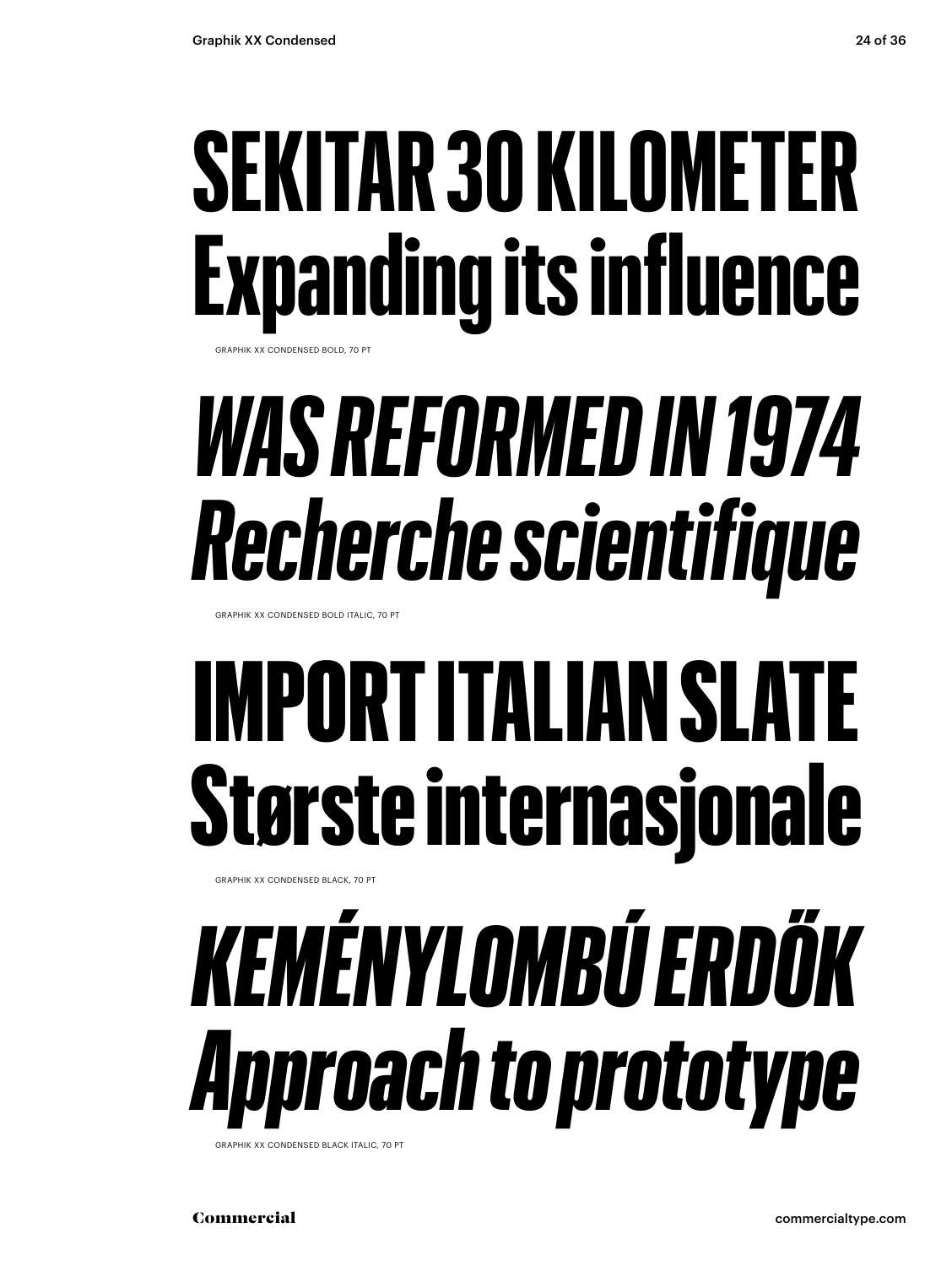### **SEKITAR 30 KILOMETER Expanding its influence**

GRAPHIK XX CONDENSED BOLD, 70 PT

### *WAS REFORMED IN 1974 Recherche scientifique*

GRAPHIK XX CONDENSED BOLD ITALIC, 70 PT

### IMPORT ITALIAN SLATE Største internasjonale

GRAPHIK XX CONDENSED BLACK, 70 PT

### *KEMÉNYLOMBÚ ERDŐK Approach to prototype*

GRAPHIK XX CONDENSED BLACK ITALIC, 70 PT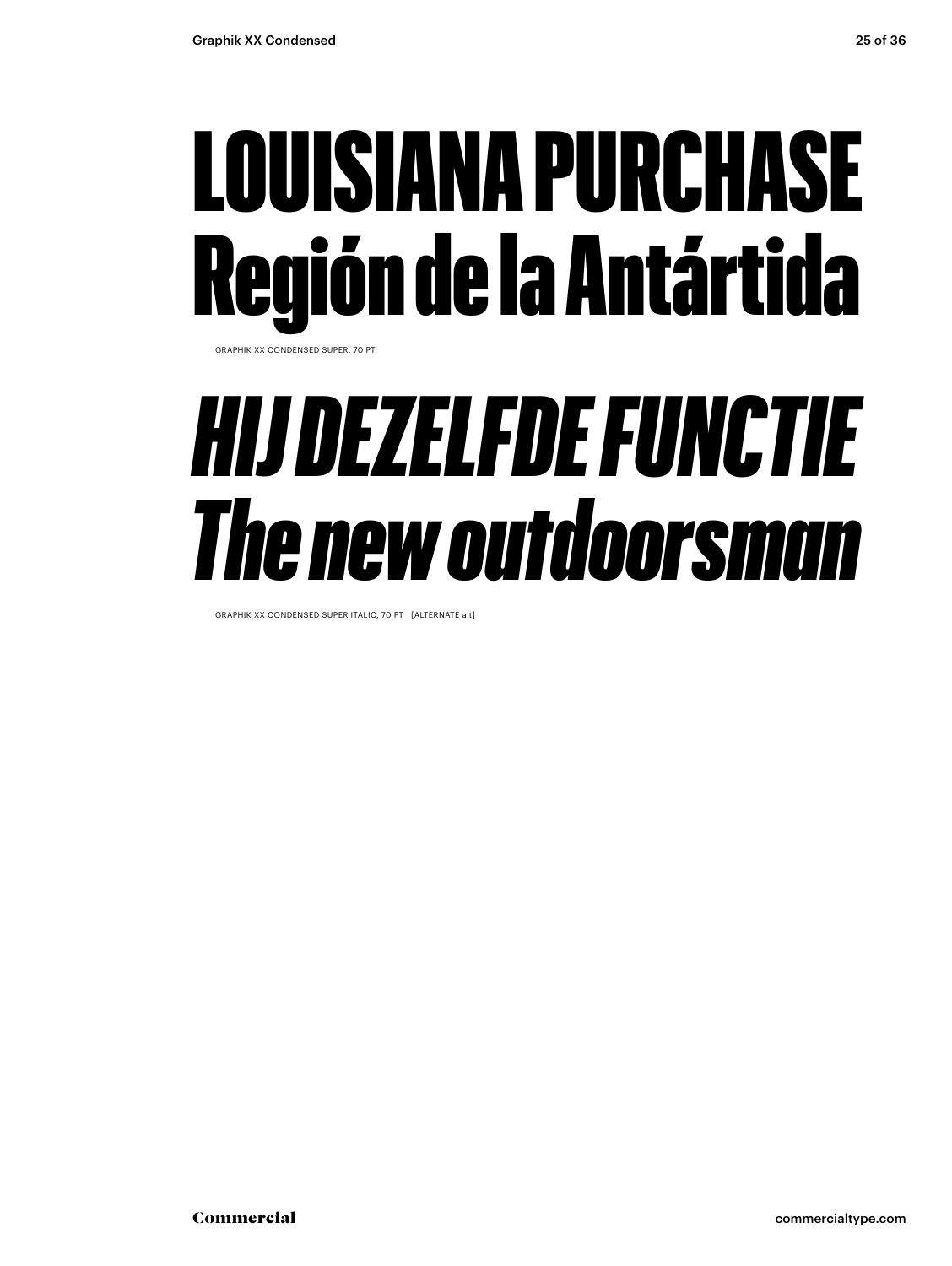#### LOUISIANA PURCHASE Región de la Antártida

GRAPHIK XX CONDENSED SUPER, 70 PT

#### *HIJ DEZELFDE FUNCTIE The new outdoorsman*

GRAPHIK XX CONDENSED SUPER ITALIC, 70 PT [ALTERNATE a t]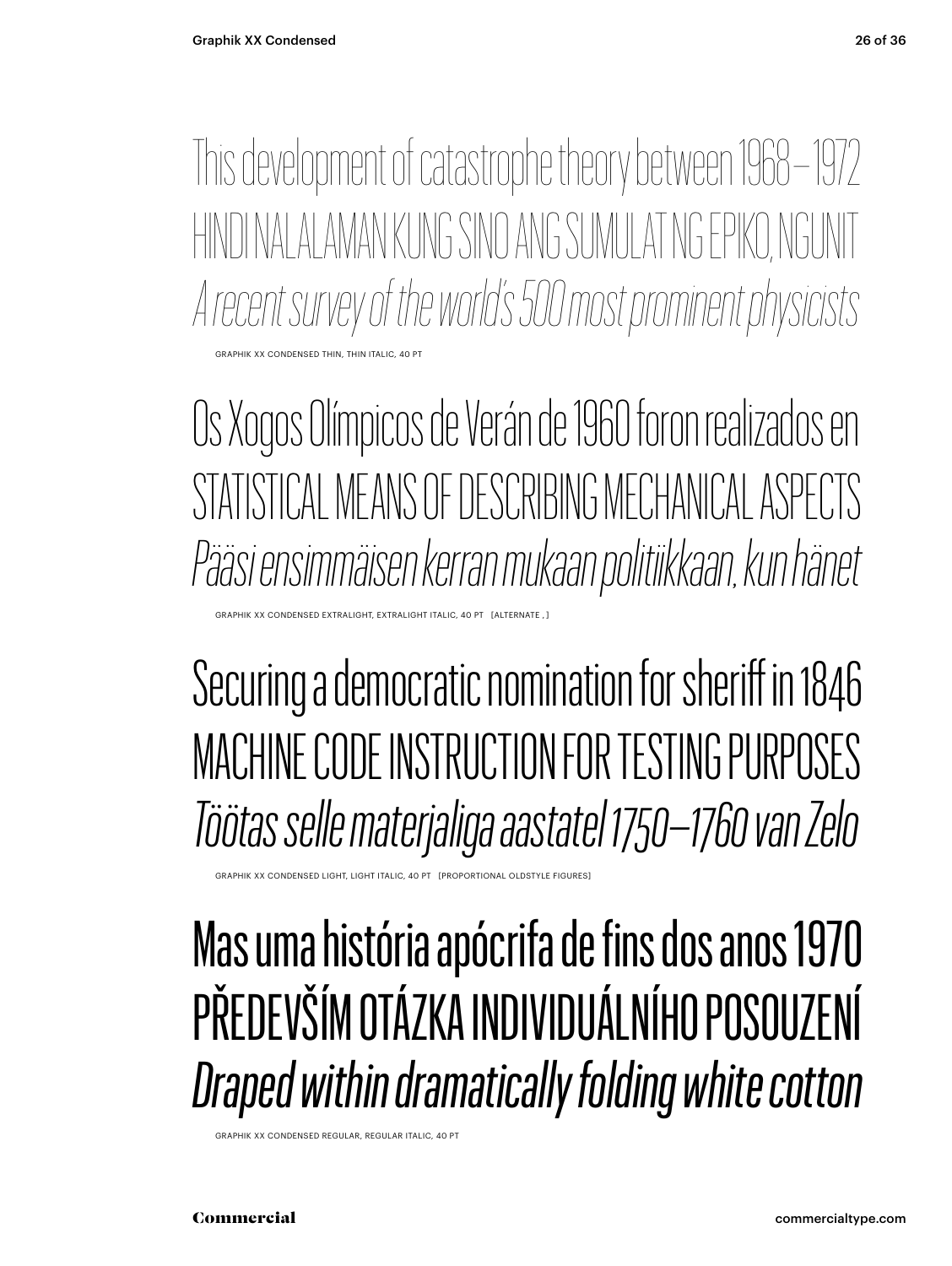This development of catastrophe theory between 1968 – 1972 HINDI NALALAMAN KUNG SINO ANG SUMULAT NG EPIKO, NGUNIT *A recent survey of the world's 500 most prominent physicists* CONDENSED THIN, THIN ITALIC

Os Xogos Olímpicos de Verán de 1960 foron realizados en STATISTICAL MEANS OF DESCRIBING MECHANICAL ASPECTS *Pääsi ensimmäisen kerran mukaan politiikkaan, kun hänet* 

Securing a democratic nomination for sheriff in 1846 MACHINE CODE INSTRUCTION FOR TESTING PURPOSES *Töötas selle materjaliga aastatel 1750–1760 van Zelo*

.<br>RAPHIK XX CONDENSED LIGHT, LIGHT ITALIC, 40 PT [PROPORTIONAL OLDSTYLE FIGURES]

XX CONDENSED EXTRALIGHT, EXTRALIGHT ITALIC, 40 PT [ALTERNATI

Mas uma história apócrifa de fins dos anos 1970 PŘEDEVŠÍM OTÁZKA INDIVIDUÁLNÍHO POSOUZENÍ *Draped within dramatically folding white cotton*

GRAPHIK XX CONDENSED REGULAR, REGULAR ITALIC, 40 PT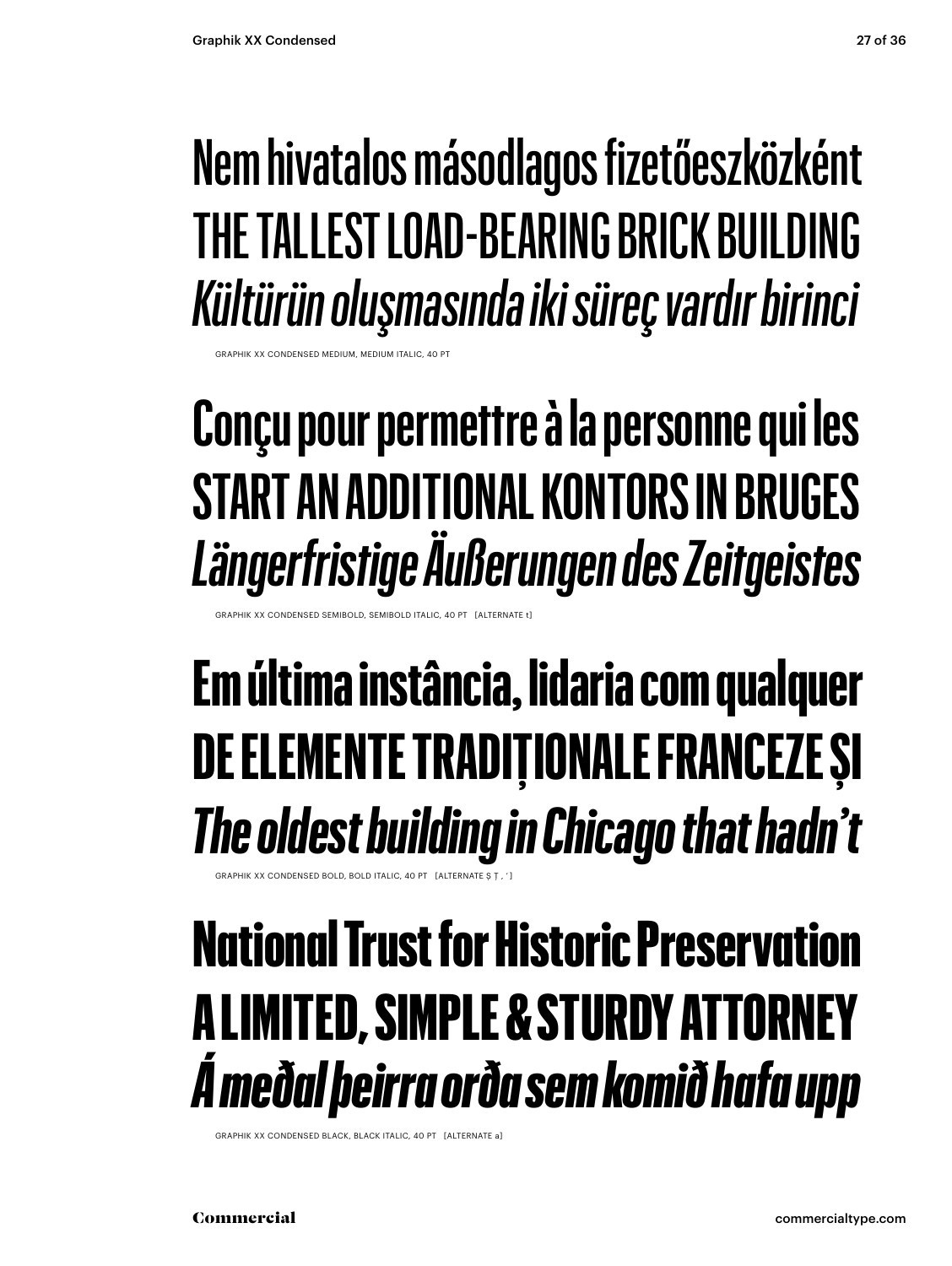#### Nem hivatalos másodlagos fizetőeszközként THE TALLEST LOAD-BEARING BRICK BUILDING Kültürün oluşmasında iki süreç vardır birinci

CONDENSED MEDIUM, MEDIUM ITALIC, 40

#### Conçu pour permettre à la personne qui les **START AN ADDITIONAL KONTORS IN BRUGES** Längerfristige Äußerungen des Zeitgeistes

XX CONDENSED SEMIBOLD, SEMIBOLD ITALIC, 40 PT [ALTERNATE

#### Em última instância, lidaria com qualquer DE ELEMENTE TRADIȚIONALE FRANCEZE ȘI The oldest building in Chicago that hadn't

.<br>FRAPHIK XX CONDENSED BOLD, BOLD ITALIC, 40 PT FALTERNATE ST

#### **National Trust for Historic Preservation A LIMITED, SIMPLE & STURDY ATTORNEY** A meðal þeirra orða sem komið hafa upp

GRAPHIK XX CONDENSED BLACK, BLACK ITALIC, 40 PT [ALTERNATE a]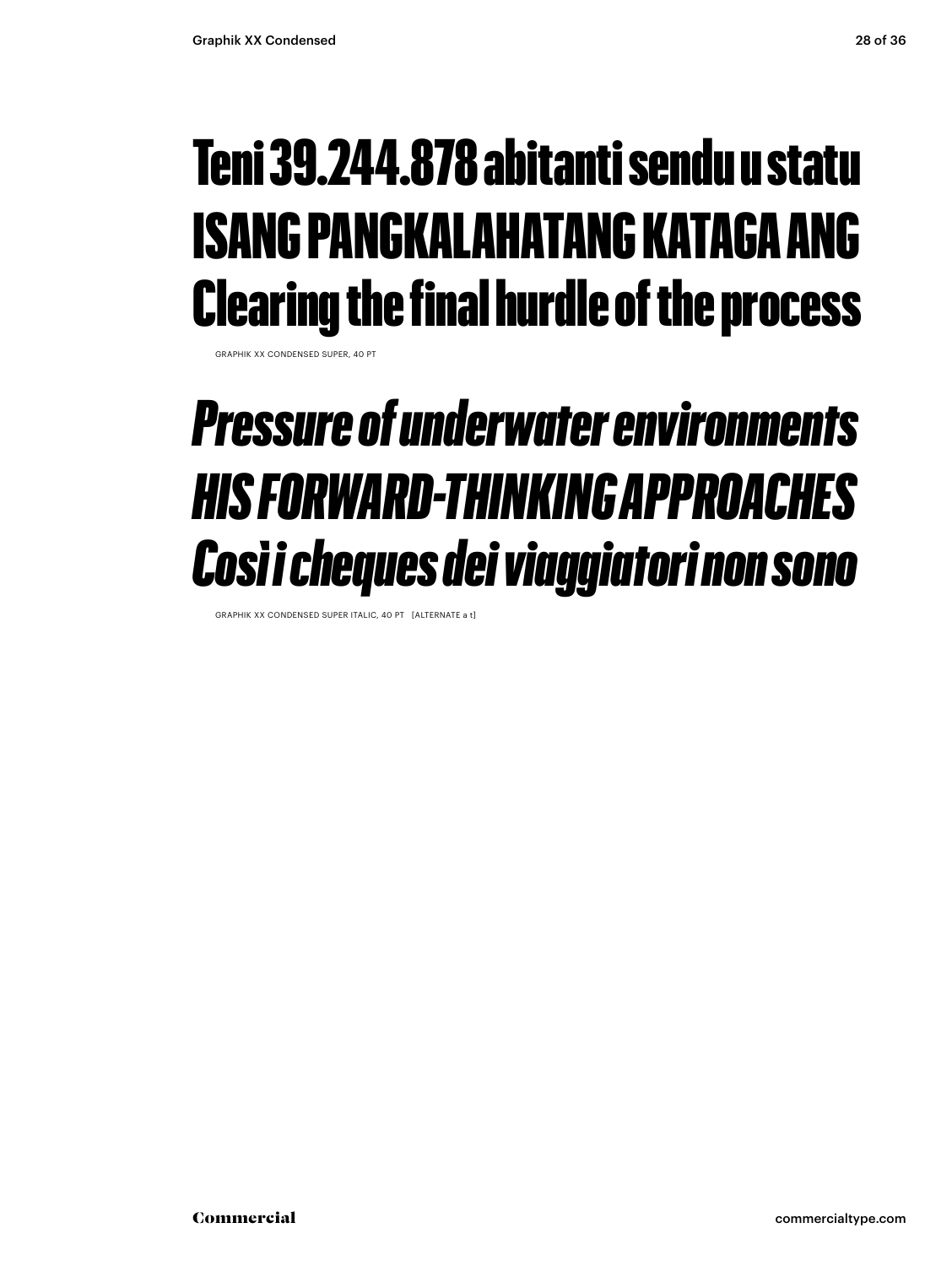#### Teni 39.244.878 abitanti sendu u statu ISANG PANGKALAHATANG KATAGA ANG Clearing the final hurdle of the process

GRAPHIK XX CONDENSED SUPER, 40 PT

#### *Pressure of underwater environments HIS FORWARD-THINKING APPROACHES Così i cheques dei viaggiatori non sono*

GRAPHIK XX CONDENSED SUPER ITALIC, 40 PT [ALTERNATE a t]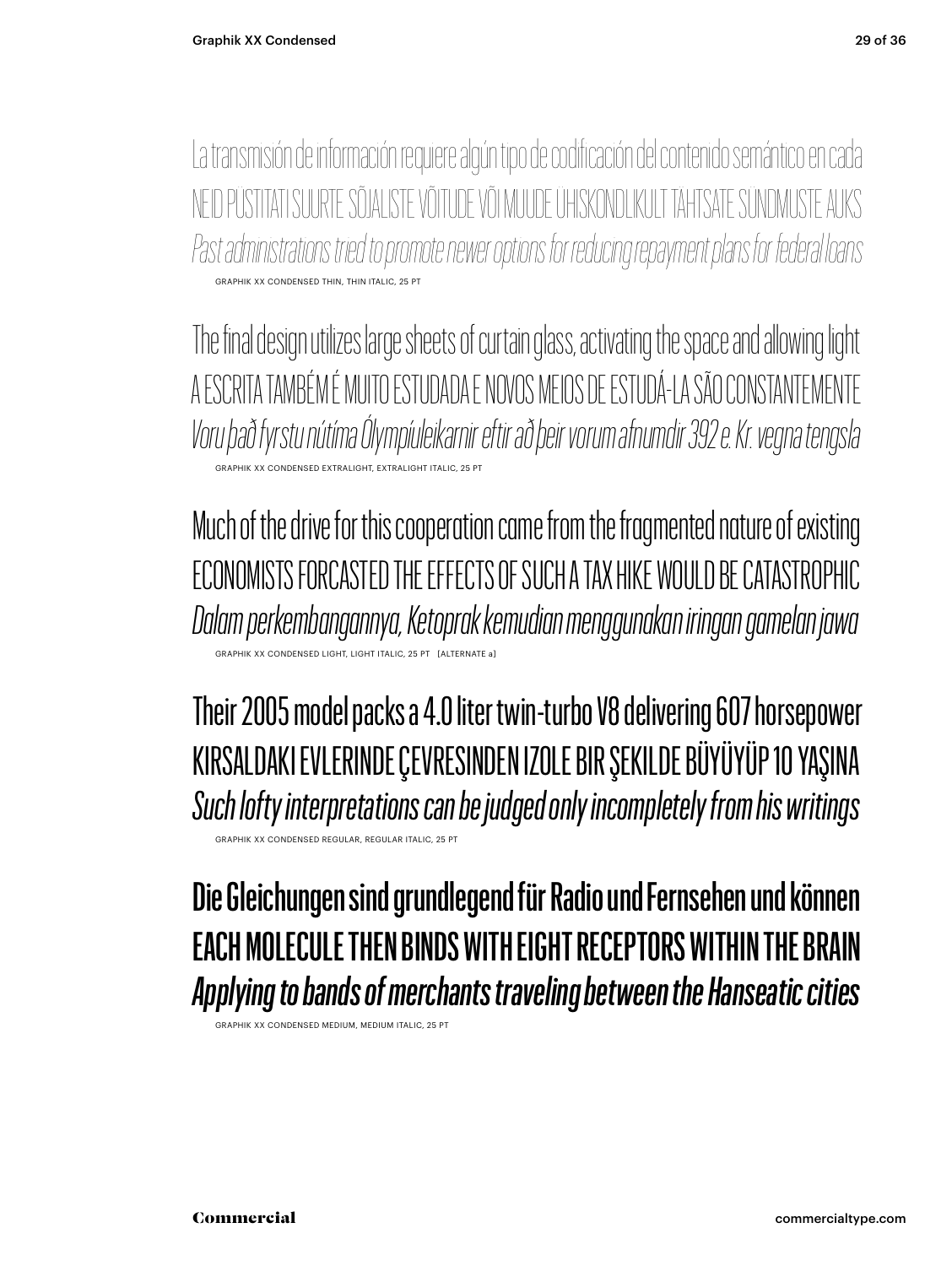La transmisión de información requiere algún tipo de codificación del contenido semántico en cada ID PÜSTITATI SUURTE SÕJALISTE VÕITUDE VÕI MUUDE ÜHISKONDLIKULT TÄHTSATE SÜNDMI *Past administrations tried to promote newer options for reducing repayment plans for federal loans* GRAPHIK XX CONDENSED THIN, THIN ITALIC, 25 PT

The final design utilizes large sheets of curtain glass, activating the space and allowing light A ESCRITA TAMBÉM É MUITO ESTUDADA E NOVOS MEIOS DE ESTUDÁ-LA SÃO CONSTANTEMENTE *Voru það fyrstu nútíma Ólympíuleikarnir eftir að þeir vorum afnumdir 392 e. Kr. vegna tengsla* GRAPHIK XX CONDENSED EXTRALIGHT, EXTRALIGHT ITALIC, 25 PT

Much of the drive for this cooperation came from the fragmented nature of existing ECONOMISTS FORCASTED THE EFFECTS OF SUCH A TAX HIKE WOULD BE CATASTROPHIC *Dalam perkembangannya, Ketoprak kemudian menggunakan iringan gamelan jawa* GRAPHIC ITALIC 25

Their 2005 model packs a 4.0 liter twin-turbo V8 delivering 607 horsepower KIRSALDAKI EVLERINDE ÇEVRESINDEN IZOLE BIR ŞEKILDE BÜYÜYÜP 10 YAŞINA *Such lofty interpretations can be judged only incompletely from his writings* GRAPHIK XX CONDENSED REGULAR, REGULAR ITALIC, 25 PT

Die Gleichungen sind grundlegend für Radio und Fernsehen und können EACH MOLECULE THEN BINDS WITH EIGHT RECEPTORS WITHIN THE BRAIN *Applying to bands of merchants traveling between the Hanseatic cities*

GRAPHIK XX CONDENSED MEDIUM, MEDIUM ITAL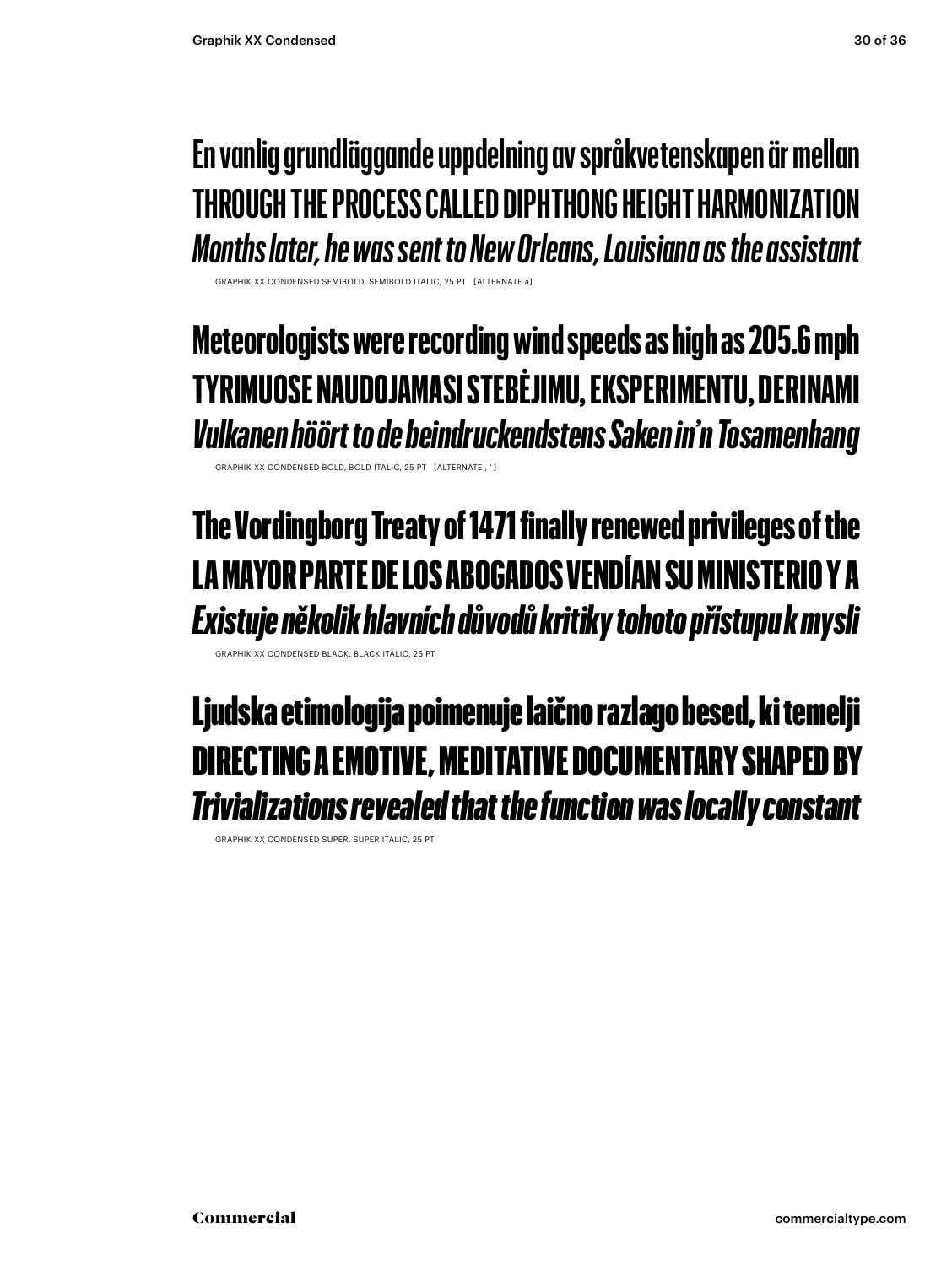#### **En vanlig grundläggande uppdelning av språkvetenskapen är mellan THROUGH THE PROCESS CALLED DIPHTHONG HEIGHT HARMONIZATION** *Months later, he was sent to New Orleans, Louisiana as the assistant*

GRAPHIK XX CONDENSED SEMIBOLD, SEMIBOLD ITALIC, 25 PT [ALTERNATE a]

**Meteorologists were recording wind speeds as high as 205.6 mph TYRIMUOSE NAUDOJAMASI STEBĖJIMU, EKSPERIMENTU, DERINAMI** *Vulkanen höört to de beindruckendstens Saken in'n Tosamenhang*

GRAPHIK XX CONDENSED BOLD, BOLD ITALIC, 25 PT [ALTERNATE , ' ]

#### The Vordingborg Treaty of 1471 finally renewed privileges of the LA MAYOR PARTE DE LOS ABOGADOS VENDÍAN SU MINISTERIO Y A *Existuje několik hlavních důvodů kritiky tohoto přístupu k mysli*

GRAPHIK XX CONDENSED BLACK, BLACK ITALIC,

Ljudska etimologija poimenuje laično razlago besed, ki temelji DIRECTING A EMOTIVE, MEDITATIVE DOCUMENTARY SHAPED BY *Trivializations revealed that the function was locally constant*

GRAPHIK XX CONDENSED SUPER, SUPER ITALIC, 25 PT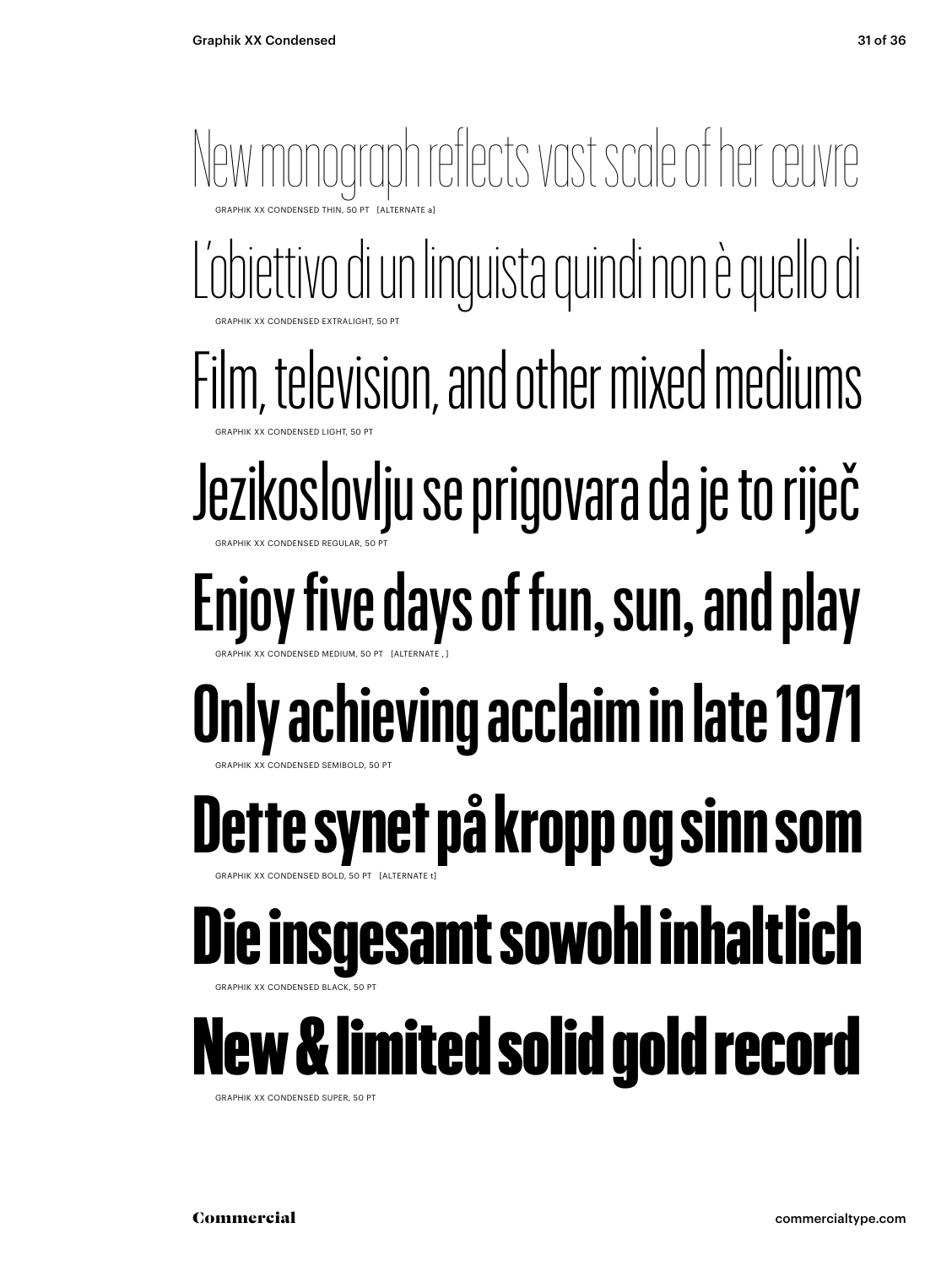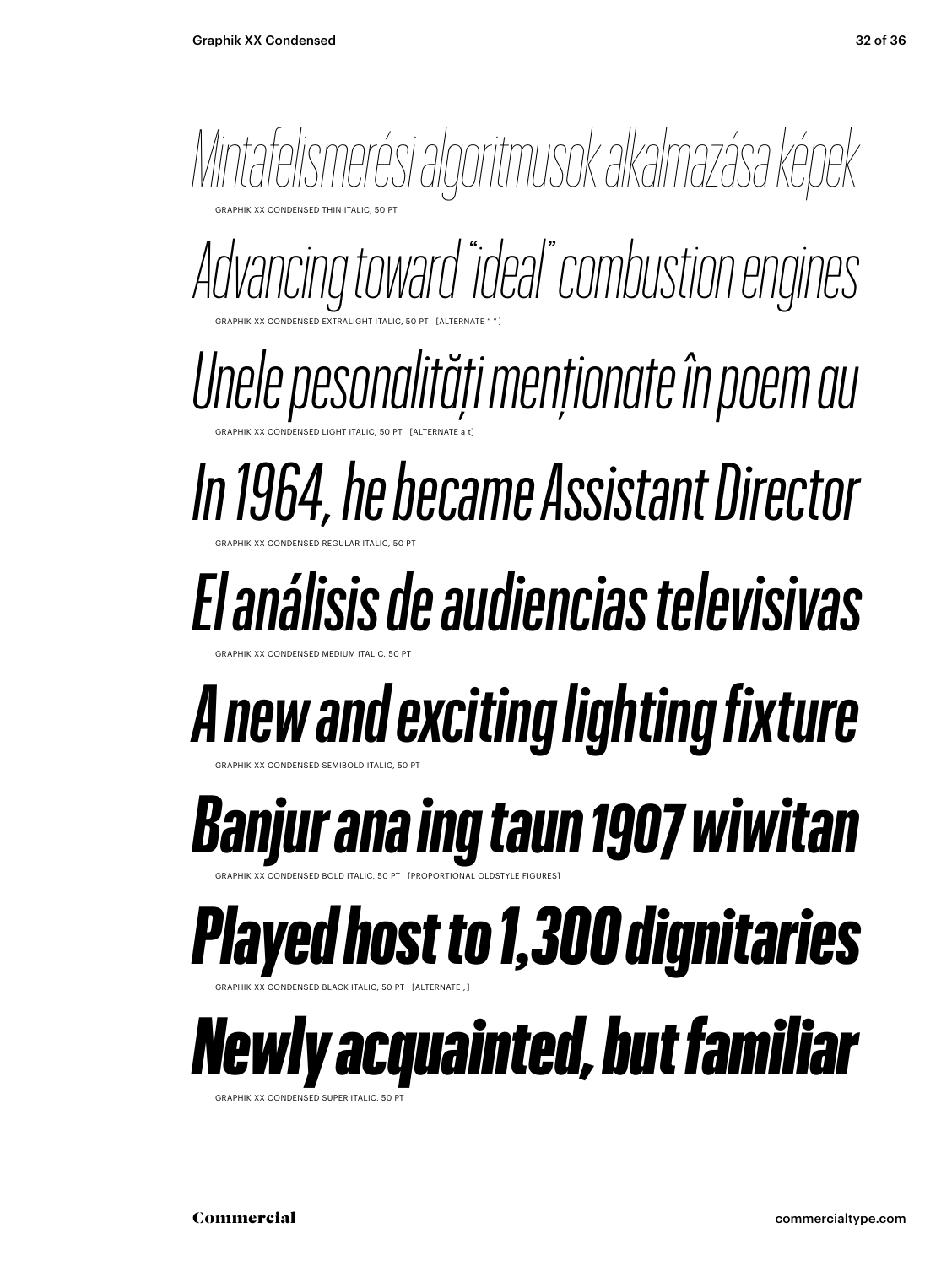

GRAPHIK XX CONDENSED SUPER ITALIC, 50 P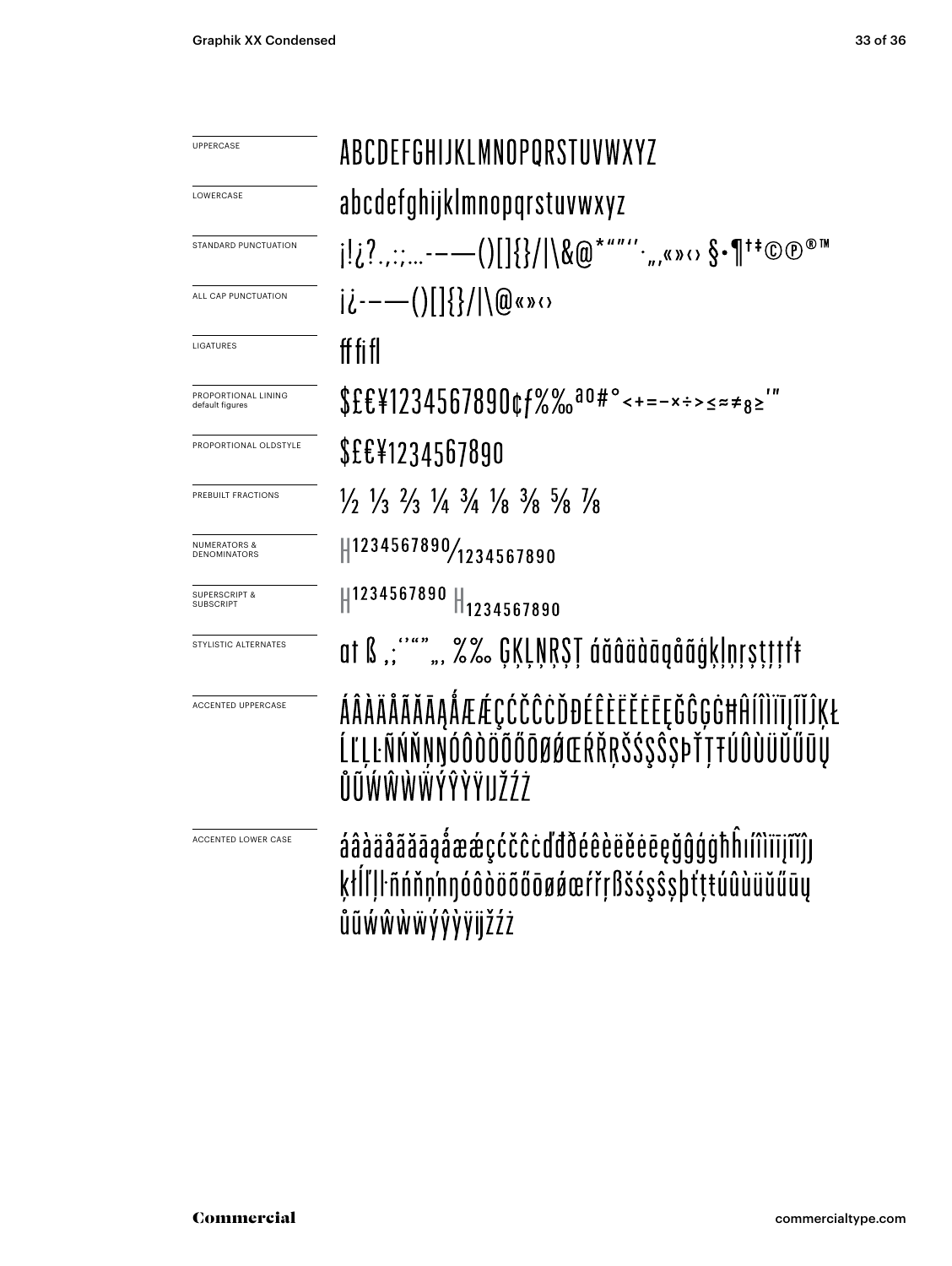| UPPERCASE                               | ABCDEFGHIJKLMNOPQRSTUVWXYZ                                                                                                    |  |  |  |  |
|-----------------------------------------|-------------------------------------------------------------------------------------------------------------------------------|--|--|--|--|
| LOWERCASE                               | abcdefghijklmnopqrstuvwxyz                                                                                                    |  |  |  |  |
| STANDARD PUNCTUATION                    |                                                                                                                               |  |  |  |  |
| ALL CAP PUNCTUATION                     | ji----()[]{}/ \@«»<>                                                                                                          |  |  |  |  |
| LIGATURES                               | ff fi fl                                                                                                                      |  |  |  |  |
| PROPORTIONAL LINING<br>default figures  | $$EE41234567890$ cf%‰ <sup>ao#</sup> °<+=-x÷>≤≈≠ <sub>8</sub> ≥'"                                                             |  |  |  |  |
| PROPORTIONAL OLDSTYLE                   | \$£€¥1234567890                                                                                                               |  |  |  |  |
| PREBUILT FRACTIONS                      | $\frac{1}{2}$ $\frac{1}{3}$ $\frac{2}{3}$ $\frac{1}{4}$ $\frac{3}{4}$ $\frac{1}{8}$ $\frac{3}{8}$ $\frac{5}{8}$ $\frac{7}{8}$ |  |  |  |  |
| <b>NUMERATORS &amp;</b><br>DENOMINATORS | 1234567890/1234567890                                                                                                         |  |  |  |  |
| <b>SUPERSCRIPT &amp;</b><br>SUBSCRIPT   | H1234567890 H <sub>1234567890</sub>                                                                                           |  |  |  |  |
| STYLISTIC ALTERNATES                    | at ß ";""" ", %%. GĶĻŅŖŞŢ áăâäàāqåãģķļņŗṣţţţŕŧ                                                                                |  |  |  |  |
| <b>ACCENTED UPPERCASE</b>               | ÁÂÀÄÅÃĂĀĄÅÆÆÇĆČĈĊĎĐÉÊÈËĚĒĘĞĜĢĠĦĤÍÎÌÏĪJĨĬĴĶŁ<br>ĹĽĻĿÑŃŇŅŊÓÔÒÖÕŐŌØØŒŔŘŖŠŚŞŜSÞŤŢŦÚÛÙÜŬŰŪŲ<br>ŨŨŴŴŴŴŶŶŶŸIJŹŹ                      |  |  |  |  |
| ACCENTED LOWER CASE                     | áâàäåããāąåææçćčĉċďđðéêèëěēeçğĝģġħĥıíîìïījĩĭĵן<br>ktĺľlŀñńňn'nnóôòöõőōøøæŕřŗßšśşŝsþťtŧúûùüŭűūy<br>ůũẃŵẁẅýŷỳÿijžżż              |  |  |  |  |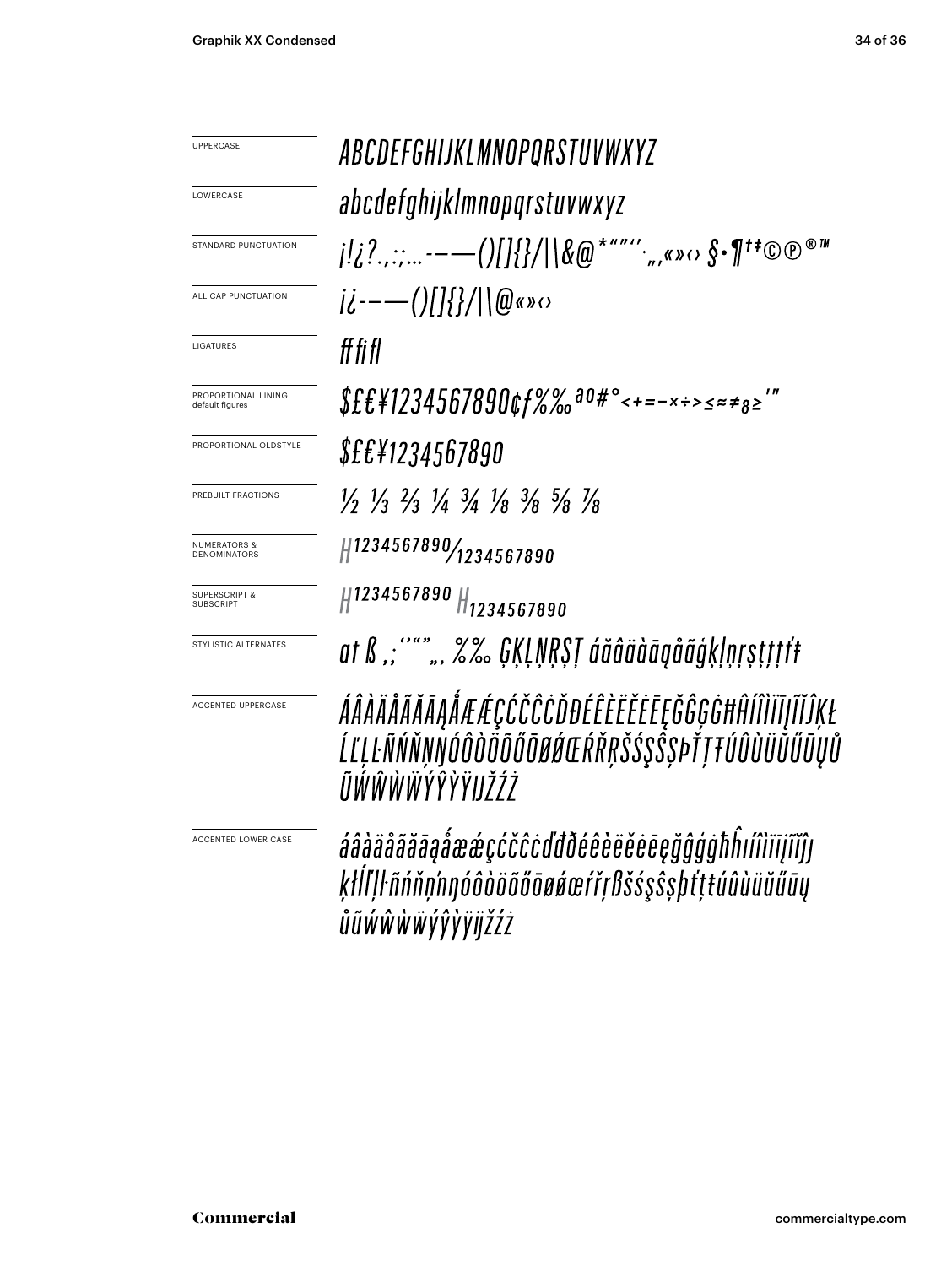ABCDEFGHIJKLMNOPORSTUVWXYZ UPPERCASE LOWERCASE abcdefghijklmnopqrstuvwxyz  $j!_{\ell}$ ?......---()[]{}/|\&@\*""''.,,«» $\circ$  \$•¶<sup>†‡</sup>©®® STANDARD PUNCTUATION  $i\ell$  --- ()[]{}/|\@«» $\circ$ ALL CAP PUNCTUATION ff fi fl LIGATURES  $$EE41234567890$ cf%‰<sup>a0#</sup>°<+=-x÷>≤≈≠<sub>8</sub>≥'" PROPORTIONAL LINING default figures *\$££¥1234567890* PROPORTIONAL OLDSTYLE  $\frac{1}{2}$   $\frac{1}{3}$   $\frac{2}{3}$   $\frac{1}{4}$   $\frac{3}{4}$   $\frac{1}{8}$   $\frac{3}{8}$   $\frac{5}{8}$   $\frac{1}{8}$ PREBUILT FRACTIONS #1234567890/1234567890 NUMERATORS & DENOMINATORS #1234567890 #1234567890 SUPERSCRIPT & SUBSCRIPT at ß ,; "",, %% GĶĻŅŖŞŢ áăâäàāąåãģķļņŗșţţţtf STYLISTIC ALTERNATES ÁÂÀÄÄÃĂĀĄÅÆÆÇĆČĈĊĎĐÉÊÈËĔĔĒĘĞĜĢĠĦĤÍÎÌÏĪĮĨĬĴĶŁ ACCENTED UPPERCASE ĹĽĻĿÑŃŇŅŊÓÔÒŎÕŐŎØŔŒŔŘŖŠŚŞŜSÞŤŢŦÚÛÙÜŮŰŨŲŮ ĨĬŴŴŴŴÝŶŶŸIJŽŹŻ áâàäåããāąåææçćčĉcďđðéêèëĕēēęğĝģġħĥıíîìïījĩĭĵן ACCENTED LOWER CASEķłĺľļŀñńňņ'nŋóôòöõőōøáœŕřŗßšśşŝşþťţŧúûùüŭűūų ůũẃŵẁẅýŷỳÿijžźż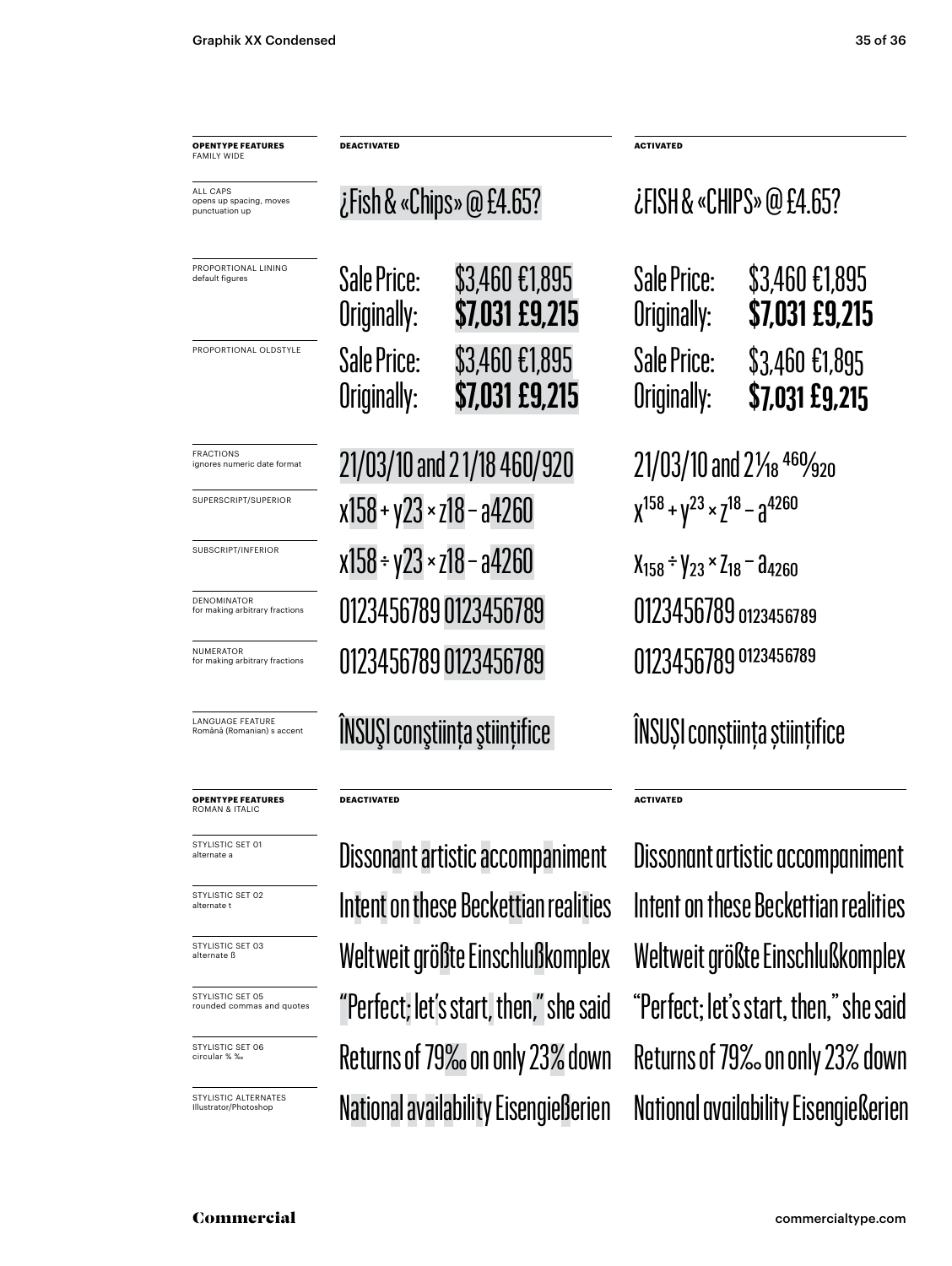| <b>OPENTYPE FEATURES</b><br><b>FAMILY WIDE</b>               | <b>DEACTIVATED</b>                 |                                  | ACTIVATED                                          |                                  |
|--------------------------------------------------------------|------------------------------------|----------------------------------|----------------------------------------------------|----------------------------------|
| <b>ALL CAPS</b><br>opens up spacing, moves<br>punctuation up | ¿Fish & «Chips» @ £4.65?           |                                  | ¿FISH & «CHIPS» @ £4.65?                           |                                  |
| PROPORTIONAL LINING<br>default figures                       | Sale Price:<br>Originally:         | \$3,460 £1,895<br>\$7,031 £9,215 | Sale Price:<br>Originally:                         | \$3,460 €1,895<br>\$7,031 £9,215 |
| PROPORTIONAL OLDSTYLE                                        | Sale Price:<br>Originally:         | \$3,460 €1,895<br>\$7,031 £9,215 | Sale Price:<br>Originally:                         | \$3,460 €1,895<br>\$7,031 £9,215 |
| <b>FRACTIONS</b><br>ignores numeric date format              | 21/03/10 and 21/18 460/920         |                                  | 21/03/10 and 21/ <sub>18</sub> 460/ <sub>920</sub> |                                  |
| SUPERSCRIPT/SUPERIOR                                         | x158 + y23 × z18 – a4260           |                                  | $X^{158} + Y^{23} \times Z^{18} - Z^{4260}$        |                                  |
| SUBSCRIPT/INFERIOR                                           | $x158 \div y23 \times z18 - a4260$ |                                  | $X_{158} \div Y_{23} \times Z_{18} -  d_{4260}$    |                                  |
| <b>DENOMINATOR</b><br>for making arbitrary fractions         | 01234567890123456789               |                                  |                                                    |                                  |
| <b>NUMERATOR</b><br>for making arbitrary fractions           | 01234567890123456789               |                                  | 0123456789 0123456789                              |                                  |
| LANGUAGE FEATURE<br>Română (Romanian) s accent               | ÎNSUȘI conștiința științifice      |                                  | ÎNSUȘI conștiința științifice                      |                                  |
| <b>OPENTYPE FEATURES</b><br>ROMAN & ITALIC                   | <b>DEACTIVATED</b>                 |                                  | <b>ACTIVATED</b>                                   |                                  |
| STYLISTIC SET 01<br>alternate a                              |                                    | Dissonant artistic accompaniment | Dissonant artistic accompaniment                   |                                  |
|                                                              |                                    |                                  |                                                    |                                  |

STYLISTIC SET 02 alternate t

STYLISTIC SET 03 alternate ß

STYLISTIC SET 05 rounded commas and quotes

STYLISTIC SET 06 circular % ‰

STYLISTIC ALTERNATES Illustrator/Photoshop

Intent on these Beckettian realities Intent on these Beckettian realities Weltweit größte Einschlußkomplex Weltweit größte Einschlußkomplex "Perfect; let's start, then," she said "Perfect; let's start, then," she said Returns of 79‰ on only 23% down Returns of 79‰ on only 23% down National availability Eisengießerien National availability Eisengießerien